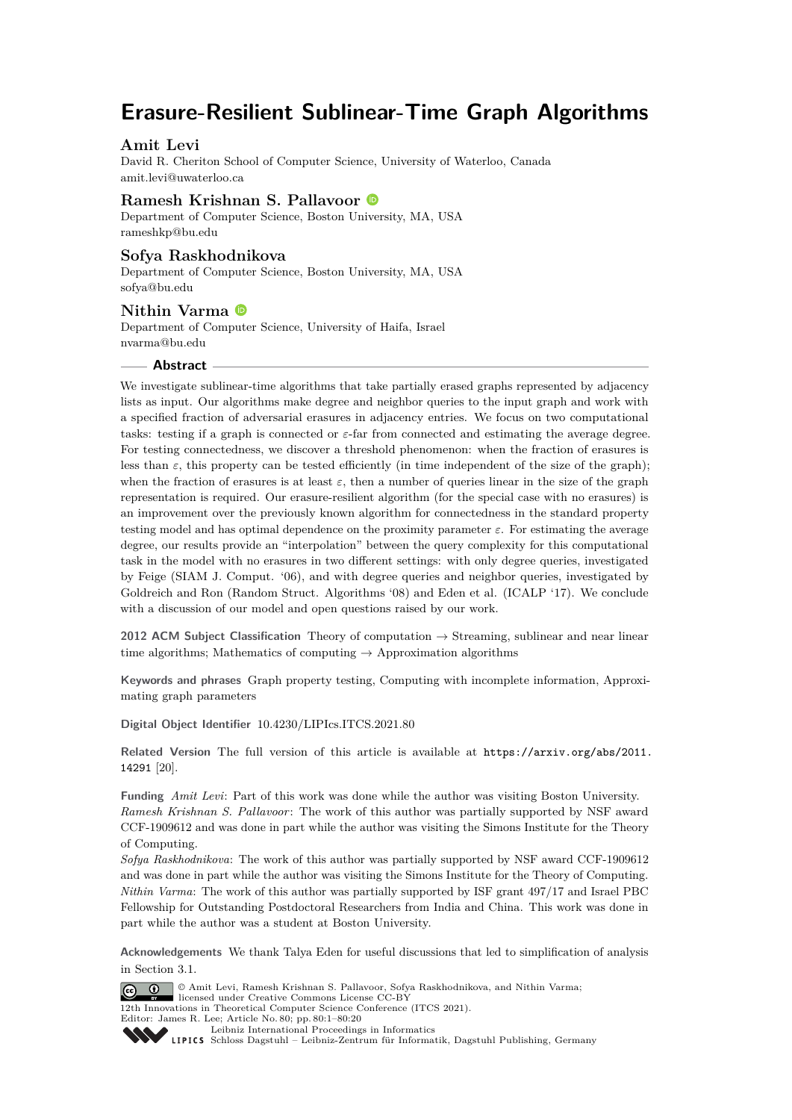# **Erasure-Resilient Sublinear-Time Graph Algorithms**

# **Amit Levi**

David R. Cheriton School of Computer Science, University of Waterloo, Canada [amit.levi@uwaterloo.ca](mailto:amit.levi@uwaterloo.ca)

# **Ramesh Krishnan S. Pallavoor**

Department of Computer Science, Boston University, MA, USA [rameshkp@bu.edu](mailto:rameshkp@bu.edu)

# **Sofya Raskhodnikova**

Department of Computer Science, Boston University, MA, USA [sofya@bu.edu](mailto:sofya@bu.edu)

# **Nithin Varma**

Department of Computer Science, University of Haifa, Israel [nvarma@bu.edu](mailto:nvarma@bu.edu)

## **Abstract**

We investigate sublinear-time algorithms that take partially erased graphs represented by adjacency lists as input. Our algorithms make degree and neighbor queries to the input graph and work with a specified fraction of adversarial erasures in adjacency entries. We focus on two computational tasks: testing if a graph is connected or *ε*-far from connected and estimating the average degree. For testing connectedness, we discover a threshold phenomenon: when the fraction of erasures is less than  $\varepsilon$ , this property can be tested efficiently (in time independent of the size of the graph); when the fraction of erasures is at least  $\varepsilon$ , then a number of queries linear in the size of the graph representation is required. Our erasure-resilient algorithm (for the special case with no erasures) is an improvement over the previously known algorithm for connectedness in the standard property testing model and has optimal dependence on the proximity parameter  $\varepsilon$ . For estimating the average degree, our results provide an "interpolation" between the query complexity for this computational task in the model with no erasures in two different settings: with only degree queries, investigated by Feige (SIAM J. Comput. '06), and with degree queries and neighbor queries, investigated by Goldreich and Ron (Random Struct. Algorithms '08) and Eden et al. (ICALP '17). We conclude with a discussion of our model and open questions raised by our work.

**2012 ACM Subject Classification** Theory of computation → Streaming, sublinear and near linear time algorithms; Mathematics of computing  $\rightarrow$  Approximation algorithms

**Keywords and phrases** Graph property testing, Computing with incomplete information, Approximating graph parameters

**Digital Object Identifier** [10.4230/LIPIcs.ITCS.2021.80](https://doi.org/10.4230/LIPIcs.ITCS.2021.80)

Related Version The full version of this article is available at [https://arxiv.org/abs/2011.](https://arxiv.org/abs/2011.14291) [14291](https://arxiv.org/abs/2011.14291) [\[20\]](#page-19-0).

**Funding** *Amit Levi*: Part of this work was done while the author was visiting Boston University. *Ramesh Krishnan S. Pallavoor*: The work of this author was partially supported by NSF award CCF-1909612 and was done in part while the author was visiting the Simons Institute for the Theory of Computing.

*Sofya Raskhodnikova*: The work of this author was partially supported by NSF award CCF-1909612 and was done in part while the author was visiting the Simons Institute for the Theory of Computing. *Nithin Varma*: The work of this author was partially supported by ISF grant 497/17 and Israel PBC Fellowship for Outstanding Postdoctoral Researchers from India and China. This work was done in part while the author was a student at Boston University.

**Acknowledgements** We thank Talya Eden for useful discussions that led to simplification of analysis in Section [3.1.](#page-12-0)

© Amit Levi, Ramesh Krishnan S. Pallavoor, Sofya Raskhodnikova, and Nithin Varma;  $\boxed{6}$  0 licensed under Creative Commons License CC-BY 12th Innovations in Theoretical Computer Science Conference (ITCS 2021). Editor: James R. Lee; Article No. 80; pp. 80:1–80[:20](#page-19-1)



[Leibniz International Proceedings in Informatics](https://www.dagstuhl.de/lipics/) [Schloss Dagstuhl – Leibniz-Zentrum für Informatik, Dagstuhl Publishing, Germany](https://www.dagstuhl.de)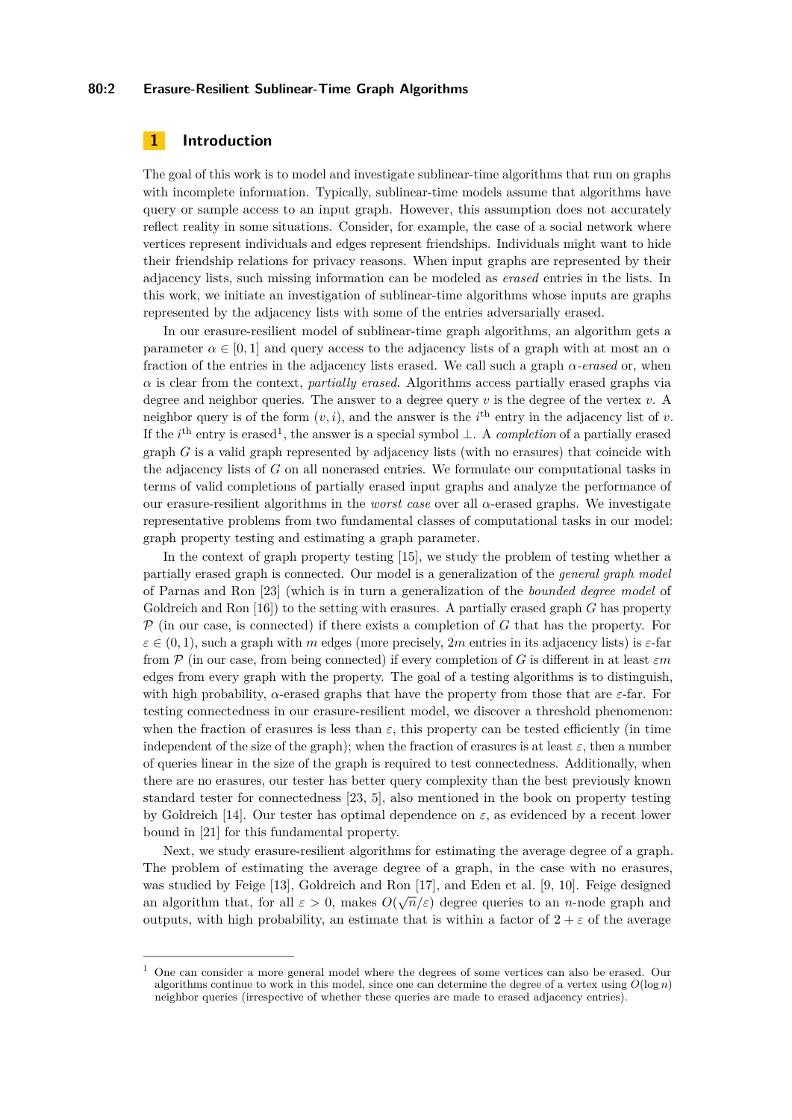### **80:2 Erasure-Resilient Sublinear-Time Graph Algorithms**

# **1 Introduction**

The goal of this work is to model and investigate sublinear-time algorithms that run on graphs with incomplete information. Typically, sublinear-time models assume that algorithms have query or sample access to an input graph. However, this assumption does not accurately reflect reality in some situations. Consider, for example, the case of a social network where vertices represent individuals and edges represent friendships. Individuals might want to hide their friendship relations for privacy reasons. When input graphs are represented by their adjacency lists, such missing information can be modeled as *erased* entries in the lists. In this work, we initiate an investigation of sublinear-time algorithms whose inputs are graphs represented by the adjacency lists with some of the entries adversarially erased.

In our erasure-resilient model of sublinear-time graph algorithms, an algorithm gets a parameter  $\alpha \in [0,1]$  and query access to the adjacency lists of a graph with at most an  $\alpha$ fraction of the entries in the adjacency lists erased. We call such a graph *α-erased* or, when *α* is clear from the context, *partially erased*. Algorithms access partially erased graphs via degree and neighbor queries. The answer to a degree query *v* is the degree of the vertex *v*. A neighbor query is of the form  $(v, i)$ , and the answer is the  $i<sup>th</sup>$  entry in the adjacency list of *v*. If the *i*<sup>th</sup> entry is erased<sup>[1](#page-1-0)</sup>, the answer is a special symbol ⊥. A *completion* of a partially erased graph *G* is a valid graph represented by adjacency lists (with no erasures) that coincide with the adjacency lists of *G* on all nonerased entries. We formulate our computational tasks in terms of valid completions of partially erased input graphs and analyze the performance of our erasure-resilient algorithms in the *worst case* over all *α*-erased graphs. We investigate representative problems from two fundamental classes of computational tasks in our model: graph property testing and estimating a graph parameter.

In the context of graph property testing [\[15\]](#page-19-2), we study the problem of testing whether a partially erased graph is connected. Our model is a generalization of the *general graph model* of Parnas and Ron [\[23\]](#page-19-3) (which is in turn a generalization of the *bounded degree model* of Goldreich and Ron [\[16\]](#page-19-4)) to the setting with erasures. A partially erased graph *G* has property P (in our case, is connected) if there exists a completion of *G* that has the property. For  $\varepsilon \in (0,1)$ , such a graph with *m* edges (more precisely, 2*m* entries in its adjacency lists) is  $\varepsilon$ -far from P (in our case, from being connected) if every completion of *G* is different in at least *εm* edges from every graph with the property. The goal of a testing algorithms is to distinguish, with high probability,  $\alpha$ -erased graphs that have the property from those that are  $\varepsilon$ -far. For testing connectedness in our erasure-resilient model, we discover a threshold phenomenon: when the fraction of erasures is less than  $\varepsilon$ , this property can be tested efficiently (in time independent of the size of the graph); when the fraction of erasures is at least  $\varepsilon$ , then a number of queries linear in the size of the graph is required to test connectedness. Additionally, when there are no erasures, our tester has better query complexity than the best previously known standard tester for connectedness [\[23,](#page-19-3) [5\]](#page-18-0), also mentioned in the book on property testing by Goldreich [\[14\]](#page-19-5). Our tester has optimal dependence on  $\varepsilon$ , as evidenced by a recent lower bound in [\[21\]](#page-19-6) for this fundamental property.

Next, we study erasure-resilient algorithms for estimating the average degree of a graph. The problem of estimating the average degree of a graph, in the case with no erasures, was studied by Feige [\[13\]](#page-19-7), Goldreich and Ron [\[17\]](#page-19-8), and Eden et al. [\[9,](#page-18-1) [10\]](#page-18-2). Feige designed an algorithm that, for all  $\varepsilon > 0$ , makes  $O(\sqrt{n}/\varepsilon)$  degree queries to an *n*-node graph and outputs, with high probability, an estimate that is within a factor of  $2 + \varepsilon$  of the average

<span id="page-1-0"></span><sup>1</sup> One can consider a more general model where the degrees of some vertices can also be erased. Our algorithms continue to work in this model, since one can determine the degree of a vertex using  $O(\log n)$ neighbor queries (irrespective of whether these queries are made to erased adjacency entries).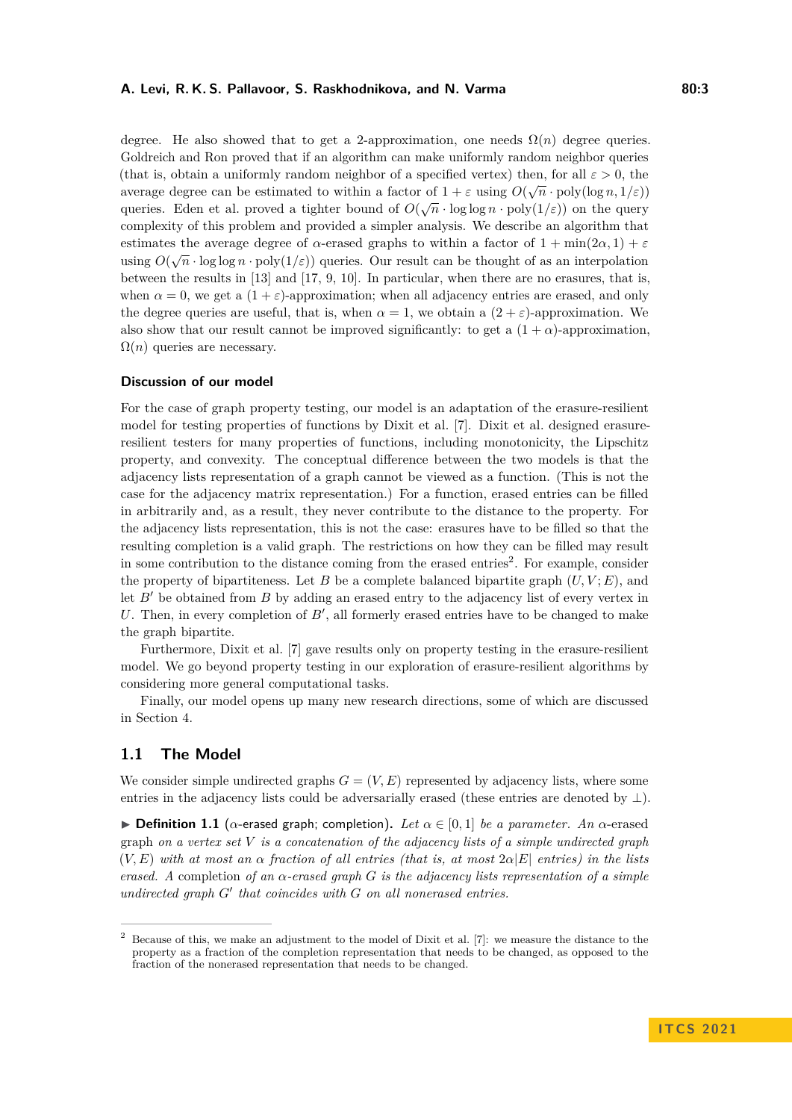### **A. Levi, R. K. S. Pallavoor, S. Raskhodnikova, and N. Varma 80:3**

degree. He also showed that to get a 2-approximation, one needs  $\Omega(n)$  degree queries. Goldreich and Ron proved that if an algorithm can make uniformly random neighbor queries (that is, obtain a uniformly random neighbor of a specified vertex) then, for all  $\varepsilon > 0$ , the average degree can be estimated to within a factor of  $1 + \varepsilon$  using  $O(\sqrt{n} \cdot \text{poly}(\log n, 1/\varepsilon))$ queries. Eden et al. proved a tighter bound of  $O(\sqrt{n} \cdot \log \log n \cdot \text{poly}(1/\varepsilon))$  on the query complexity of this problem and provided a simpler analysis. We describe an algorithm that estimates the average degree of  $\alpha$ -erased graphs to within a factor of  $1 + \min(2\alpha, 1) + \varepsilon$ using  $O(\sqrt{n} \cdot \log \log n \cdot \text{poly}(1/\varepsilon))$  queries. Our result can be thought of as an interpolation between the results in [\[13\]](#page-19-7) and [\[17,](#page-19-8) [9,](#page-18-1) [10\]](#page-18-2). In particular, when there are no erasures, that is, when  $\alpha = 0$ , we get a  $(1 + \varepsilon)$ -approximation; when all adjacency entries are erased, and only the degree queries are useful, that is, when  $\alpha = 1$ , we obtain a  $(2 + \varepsilon)$ -approximation. We also show that our result cannot be improved significantly: to get a  $(1 + \alpha)$ -approximation,  $\Omega(n)$  queries are necessary.

### **Discussion of our model**

For the case of graph property testing, our model is an adaptation of the erasure-resilient model for testing properties of functions by Dixit et al. [\[7\]](#page-18-3). Dixit et al. designed erasureresilient testers for many properties of functions, including monotonicity, the Lipschitz property, and convexity. The conceptual difference between the two models is that the adjacency lists representation of a graph cannot be viewed as a function. (This is not the case for the adjacency matrix representation.) For a function, erased entries can be filled in arbitrarily and, as a result, they never contribute to the distance to the property. For the adjacency lists representation, this is not the case: erasures have to be filled so that the resulting completion is a valid graph. The restrictions on how they can be filled may result in some contribution to the distance coming from the erased entries<sup>[2](#page-2-0)</sup>. For example, consider the property of bipartiteness. Let *B* be a complete balanced bipartite graph  $(U, V; E)$ , and let  $B'$  be obtained from  $B$  by adding an erased entry to the adjacency list of every vertex in U. Then, in every completion of  $B'$ , all formerly erased entries have to be changed to make the graph bipartite.

Furthermore, Dixit et al. [\[7\]](#page-18-3) gave results only on property testing in the erasure-resilient model. We go beyond property testing in our exploration of erasure-resilient algorithms by considering more general computational tasks.

Finally, our model opens up many new research directions, some of which are discussed in Section [4.](#page-17-0)

# **1.1 The Model**

We consider simple undirected graphs  $G = (V, E)$  represented by adjacency lists, where some entries in the adjacency lists could be adversarially erased (these entries are denoted by  $\perp$ ).

**Definition 1.1** (*α*-erased graph; completion). Let  $\alpha \in [0,1]$  be a parameter. An *α*-erased graph *on a vertex set V is a concatenation of the adjacency lists of a simple undirected graph*  $(V, E)$  *with at most an*  $\alpha$  *fraction of all entries (that is, at most*  $2\alpha|E|$  *entries) in the lists erased. A* completion *of an α-erased graph G is the adjacency lists representation of a simple*  $undirected graph G' that coincides with G on all nonerased entries.$ 

<span id="page-2-0"></span><sup>&</sup>lt;sup>2</sup> Because of this, we make an adjustment to the model of Dixit et al. [\[7\]](#page-18-3): we measure the distance to the property as a fraction of the completion representation that needs to be changed, as opposed to the fraction of the nonerased representation that needs to be changed.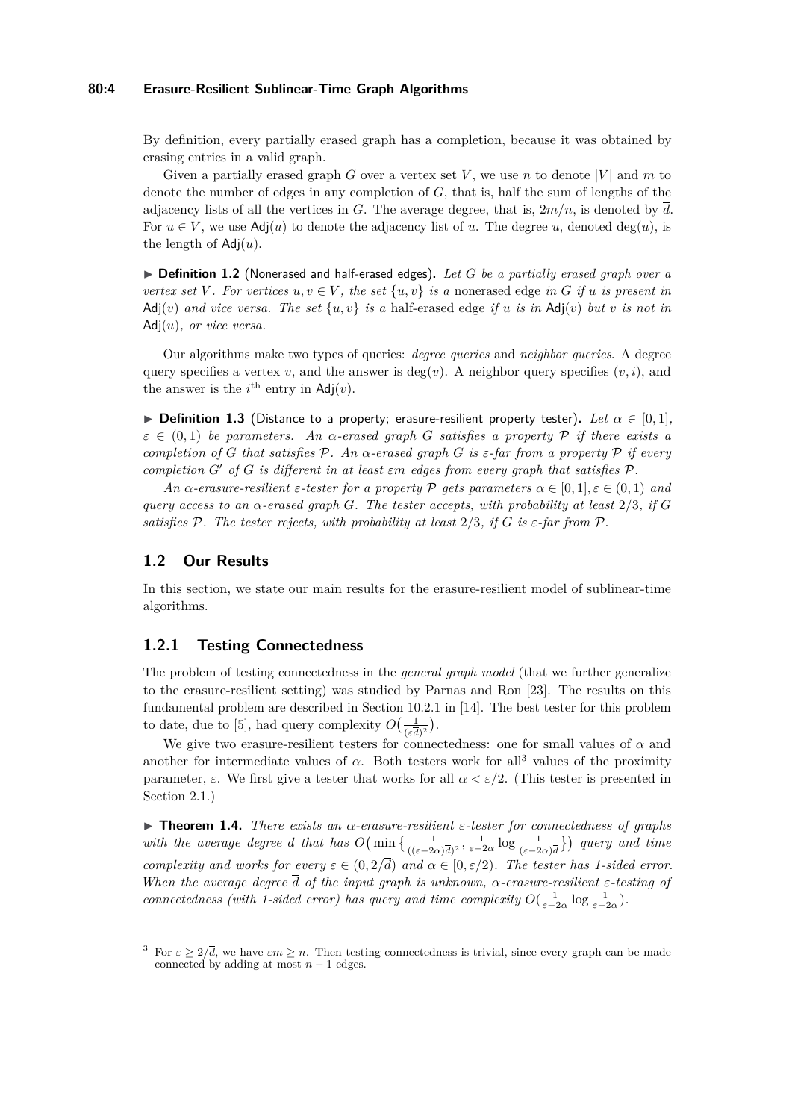### **80:4 Erasure-Resilient Sublinear-Time Graph Algorithms**

By definition, every partially erased graph has a completion, because it was obtained by erasing entries in a valid graph.

Given a partially erased graph *G* over a vertex set *V*, we use *n* to denote |*V*| and *m* to denote the number of edges in any completion of *G*, that is, half the sum of lengths of the adjacency lists of all the vertices in *G*. The average degree, that is,  $2m/n$ , is denoted by  $\overline{d}$ . For  $u \in V$ , we use Adj $(u)$  to denote the adjacency list of *u*. The degree *u*, denoted deg(*u*), is the length of Adj(*u*).

▶ **Definition 1.2** (Nonerased and half-erased edges). Let *G* be a partially erased graph over a *vertex set V*. For vertices  $u, v \in V$ , the set  $\{u, v\}$  is a nonerased edge in G if u is present in Adj $(v)$  *and vice versa. The set*  $\{u, v\}$  *is a* half-erased edge *if u is in* Adj $(v)$  *but v is not in* Adj(*u*)*, or vice versa.*

Our algorithms make two types of queries: *degree queries* and *neighbor queries*. A degree query specifies a vertex *v*, and the answer is deg(*v*). A neighbor query specifies  $(v, i)$ , and the answer is the  $i^{\text{th}}$  entry in  $\text{Adj}(v)$ .

**► Definition 1.3** (Distance to a property; erasure-resilient property tester). Let  $\alpha \in [0, 1]$ ,  $\varepsilon \in (0,1)$  *be parameters.* An  $\alpha$ -erased graph G satisfies a property  $\mathcal{P}$  if there exists a *completion of G that satisfies* P*. An α-erased graph G is ε-far from a property* P *if every completion*  $G'$  *of*  $G$  *is different in at least*  $\varepsilon$ m *edges from every graph that satisfies*  $\mathcal{P}$ *.* 

*An*  $\alpha$ -erasure-resilient  $\varepsilon$ -tester for a property  $\mathcal P$  *gets parameters*  $\alpha \in [0,1], \varepsilon \in (0,1)$  and *query access to an*  $\alpha$ -erased graph *G*. The tester accepts, with probability at least  $2/3$ , if *G satisfies*  $P$ *. The tester rejects, with probability at least*  $2/3$ *, if G is*  $\varepsilon$ *-far from*  $P$ *.* 

## **1.2 Our Results**

In this section, we state our main results for the erasure-resilient model of sublinear-time algorithms.

# **1.2.1 Testing Connectedness**

The problem of testing connectedness in the *general graph model* (that we further generalize to the erasure-resilient setting) was studied by Parnas and Ron [\[23\]](#page-19-3). The results on this fundamental problem are described in Section 10.2.1 in [\[14\]](#page-19-5). The best tester for this problem to date, due to [\[5\]](#page-18-0), had query complexity  $O\left(\frac{1}{\sqrt{2}}\right)$  $\frac{1}{(\varepsilon \overline{d})^2}$ ).

We give two erasure-resilient testers for connectedness: one for small values of  $\alpha$  and another for intermediate values of  $\alpha$ . Both testers work for all<sup>[3](#page-3-0)</sup> values of the proximity parameter,  $\varepsilon$ . We first give a tester that works for all  $\alpha < \varepsilon/2$ . (This tester is presented in Section [2.1.](#page-6-0))

<span id="page-3-1"></span>I **Theorem 1.4.** *There exists an α-erasure-resilient ε-tester for connectedness of graphs with the average degree*  $\overline{d}$  *that has*  $O(min\{\frac{1}{((\varepsilon-2\alpha)\overline{d})^2}, \frac{1}{\varepsilon-2\alpha}\log\frac{1}{(\varepsilon-2\alpha)\overline{d}}\})$  *query and time complexity and works for every*  $\varepsilon \in (0, 2/\overline{d})$  *and*  $\alpha \in [0, \varepsilon/2)$ *. The tester has 1-sided error. When the average degree d of the input graph is unknown, α-erasure-resilient ε-testing of connectedness (with 1-sided error) has query and time complexity*  $O(\frac{1}{\varepsilon-2\alpha}\log\frac{1}{\varepsilon-2\alpha})$ .

<span id="page-3-0"></span>For  $\varepsilon > 2/\overline{d}$ , we have  $\varepsilon m > n$ . Then testing connectedness is trivial, since every graph can be made connected by adding at most  $n-1$  edges.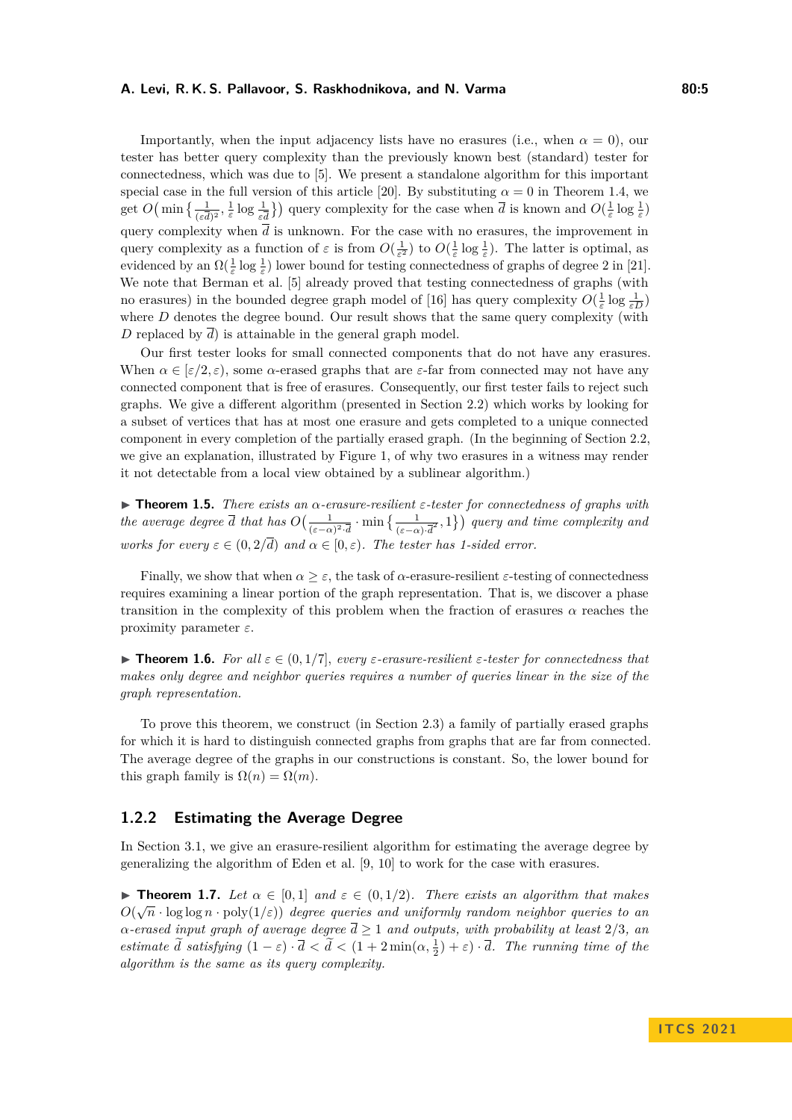### **A. Levi, R. K. S. Pallavoor, S. Raskhodnikova, and N. Varma 80:5**

Importantly, when the input adjacency lists have no erasures (i.e., when  $\alpha = 0$ ), our tester has better query complexity than the previously known best (standard) tester for connectedness, which was due to [\[5\]](#page-18-0). We present a standalone algorithm for this important special case in the full version of this article [\[20\]](#page-19-0). By substituting  $\alpha = 0$  in Theorem [1.4,](#page-3-1) we get  $O\left(\min\left\{\frac{1}{(\varepsilon\overline{d})^2}, \frac{1}{\varepsilon}\log\frac{1}{\varepsilon\overline{d}}\right\}\right)$  query complexity for the case when  $\overline{d}$  is known and  $O(\frac{1}{\varepsilon}\log\frac{1}{\varepsilon})$ query complexity when  $\bar{d}$  is unknown. For the case with no erasures, the improvement in query complexity as a function of  $\varepsilon$  is from  $O(\frac{1}{\varepsilon^2})$  to  $O(\frac{1}{\varepsilon} \log \frac{1}{\varepsilon})$ . The latter is optimal, as evidenced by an  $\Omega(\frac{1}{\varepsilon} \log \frac{1}{\varepsilon})$  lower bound for testing connectedness of graphs of degree 2 in [\[21\]](#page-19-6). We note that Berman et al. [\[5\]](#page-18-0) already proved that testing connectedness of graphs (with no erasures) in the bounded degree graph model of [\[16\]](#page-19-4) has query complexity  $O(\frac{1}{\varepsilon} \log \frac{1}{\varepsilon D})$ where *D* denotes the degree bound. Our result shows that the same query complexity (with *D* replaced by  $\overline{d}$ ) is attainable in the general graph model.

Our first tester looks for small connected components that do not have any erasures. When  $\alpha \in [\varepsilon/2, \varepsilon)$ , some  $\alpha$ -erased graphs that are  $\varepsilon$ -far from connected may not have any connected component that is free of erasures. Consequently, our first tester fails to reject such graphs. We give a different algorithm (presented in Section [2.2\)](#page-8-0) which works by looking for a subset of vertices that has at most one erasure and gets completed to a unique connected component in every completion of the partially erased graph. (In the beginning of Section [2.2,](#page-8-0) we give an explanation, illustrated by Figure [1,](#page-9-0) of why two erasures in a witness may render it not detectable from a local view obtained by a sublinear algorithm.)

<span id="page-4-0"></span>I **Theorem 1.5.** *There exists an α-erasure-resilient ε-tester for connectedness of graphs with the average degree*  $\overline{d}$  *that has*  $O\left(\frac{1}{\sqrt{1-\epsilon}}\right)$  $\frac{1}{(\varepsilon - \alpha)^2 \cdot d} \cdot \min \left\{ \frac{1}{(\varepsilon - \alpha) \cdot d^2}, 1 \right\}$  query and time complexity and *works for every*  $\varepsilon \in (0, 2/\overline{d})$  *and*  $\alpha \in [0, \varepsilon)$ *. The tester has 1-sided error.* 

Finally, we show that when  $\alpha \geq \varepsilon$ , the task of  $\alpha$ -erasure-resilient  $\varepsilon$ -testing of connectedness requires examining a linear portion of the graph representation. That is, we discover a phase transition in the complexity of this problem when the fraction of erasures  $\alpha$  reaches the proximity parameter *ε*.

<span id="page-4-1"></span>**Figure 1.6.** *For all*  $\varepsilon \in (0,1/7]$ *, every ε*-erasure-resilient *ε*-tester for connectedness that *makes only degree and neighbor queries requires a number of queries linear in the size of the graph representation.*

To prove this theorem, we construct (in Section [2.3\)](#page-11-0) a family of partially erased graphs for which it is hard to distinguish connected graphs from graphs that are far from connected. The average degree of the graphs in our constructions is constant. So, the lower bound for this graph family is  $\Omega(n) = \Omega(m)$ .

### **1.2.2 Estimating the Average Degree**

In Section [3.1,](#page-12-0) we give an erasure-resilient algorithm for estimating the average degree by generalizing the algorithm of Eden et al. [\[9,](#page-18-1) [10\]](#page-18-2) to work for the case with erasures.

<span id="page-4-2"></span>**► Theorem 1.7.** Let  $\alpha \in [0,1]$  and  $\varepsilon \in (0,1/2)$ . There exists an algorithm that makes *O*( $\sqrt{n}$  · log log *n* · poly( $1/\varepsilon$ )) *degree queries and uniformly random neighbor queries to an α-erased input graph of average degree d* ≥ 1 *and outputs, with probability at least* 2*/*3*, an estimate*  $\tilde{d}$  *satisfying*  $(1 - \varepsilon) \cdot \overline{d} < \tilde{d} < (1 + 2 \min(\alpha, \frac{1}{2}) + \varepsilon) \cdot \overline{d}$ *. The running time of the algorithm is the same as its query complexity.*

**I T C S 2 0 2 1**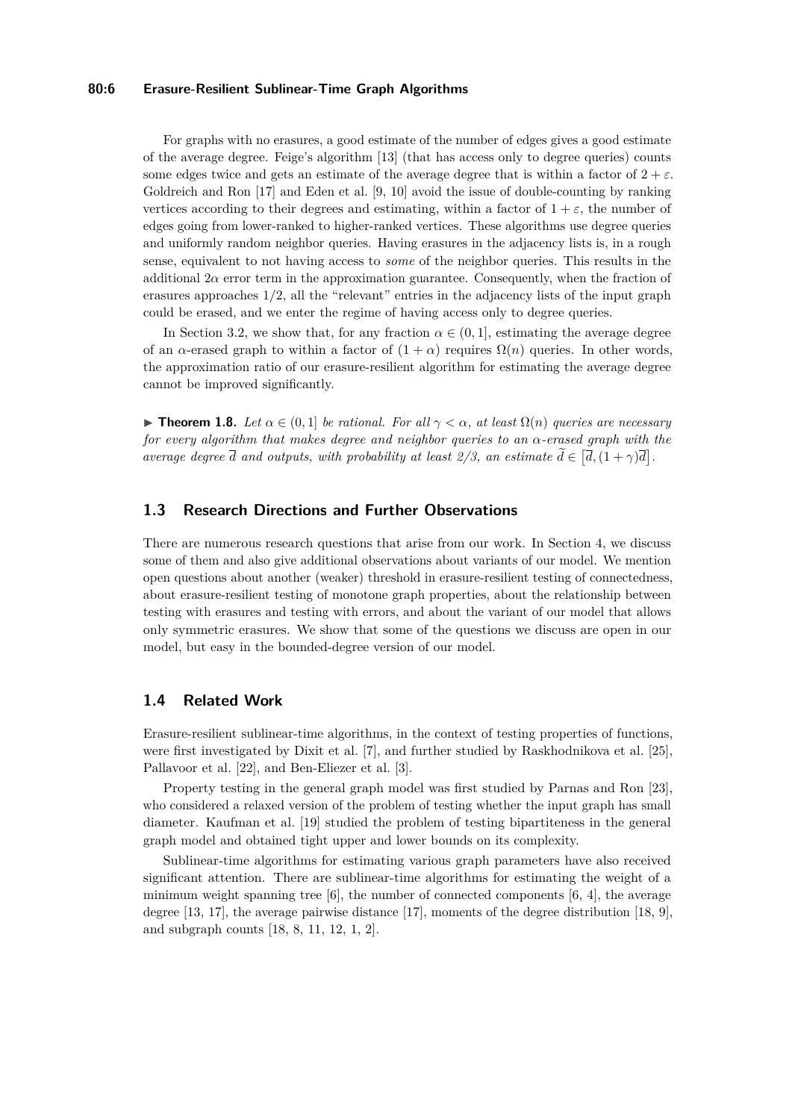# **80:6 Erasure-Resilient Sublinear-Time Graph Algorithms**

For graphs with no erasures, a good estimate of the number of edges gives a good estimate of the average degree. Feige's algorithm [\[13\]](#page-19-7) (that has access only to degree queries) counts some edges twice and gets an estimate of the average degree that is within a factor of  $2 + \varepsilon$ . Goldreich and Ron [\[17\]](#page-19-8) and Eden et al. [\[9,](#page-18-1) [10\]](#page-18-2) avoid the issue of double-counting by ranking vertices according to their degrees and estimating, within a factor of  $1 + \varepsilon$ , the number of edges going from lower-ranked to higher-ranked vertices. These algorithms use degree queries and uniformly random neighbor queries. Having erasures in the adjacency lists is, in a rough sense, equivalent to not having access to *some* of the neighbor queries. This results in the additional  $2\alpha$  error term in the approximation guarantee. Consequently, when the fraction of erasures approaches  $1/2$ , all the "relevant" entries in the adjacency lists of the input graph could be erased, and we enter the regime of having access only to degree queries.

In Section [3.2,](#page-16-0) we show that, for any fraction  $\alpha \in (0,1]$ , estimating the average degree of an *α*-erased graph to within a factor of  $(1 + \alpha)$  requires  $\Omega(n)$  queries. In other words, the approximation ratio of our erasure-resilient algorithm for estimating the average degree cannot be improved significantly.

<span id="page-5-0"></span> $▶$  **Theorem 1.8.** *Let*  $α ∈ (0,1]$  *be rational. For all*  $γ < α$ *, at least*  $Ω(n)$  *queries are necessary for every algorithm that makes degree and neighbor queries to an α-erased graph with the average degree*  $\overline{d}$  *and outputs, with probability at least 2/3, an estimate*  $\overline{d} \in [\overline{d}, (1 + \gamma)\overline{d}]$ .

# **1.3 Research Directions and Further Observations**

There are numerous research questions that arise from our work. In Section [4,](#page-17-0) we discuss some of them and also give additional observations about variants of our model. We mention open questions about another (weaker) threshold in erasure-resilient testing of connectedness, about erasure-resilient testing of monotone graph properties, about the relationship between testing with erasures and testing with errors, and about the variant of our model that allows only symmetric erasures. We show that some of the questions we discuss are open in our model, but easy in the bounded-degree version of our model.

### **1.4 Related Work**

Erasure-resilient sublinear-time algorithms, in the context of testing properties of functions, were first investigated by Dixit et al. [\[7\]](#page-18-3), and further studied by Raskhodnikova et al. [\[25\]](#page-19-9), Pallavoor et al. [\[22\]](#page-19-10), and Ben-Eliezer et al. [\[3\]](#page-18-4).

Property testing in the general graph model was first studied by Parnas and Ron [\[23\]](#page-19-3), who considered a relaxed version of the problem of testing whether the input graph has small diameter. Kaufman et al. [\[19\]](#page-19-11) studied the problem of testing bipartiteness in the general graph model and obtained tight upper and lower bounds on its complexity.

Sublinear-time algorithms for estimating various graph parameters have also received significant attention. There are sublinear-time algorithms for estimating the weight of a minimum weight spanning tree  $[6]$ , the number of connected components  $[6, 4]$  $[6, 4]$  $[6, 4]$ , the average degree [\[13,](#page-19-7) [17\]](#page-19-8), the average pairwise distance [\[17\]](#page-19-8), moments of the degree distribution [\[18,](#page-19-12) [9\]](#page-18-1), and subgraph counts [\[18,](#page-19-12) [8,](#page-18-7) [11,](#page-18-8) [12,](#page-18-9) [1,](#page-18-10) [2\]](#page-18-11).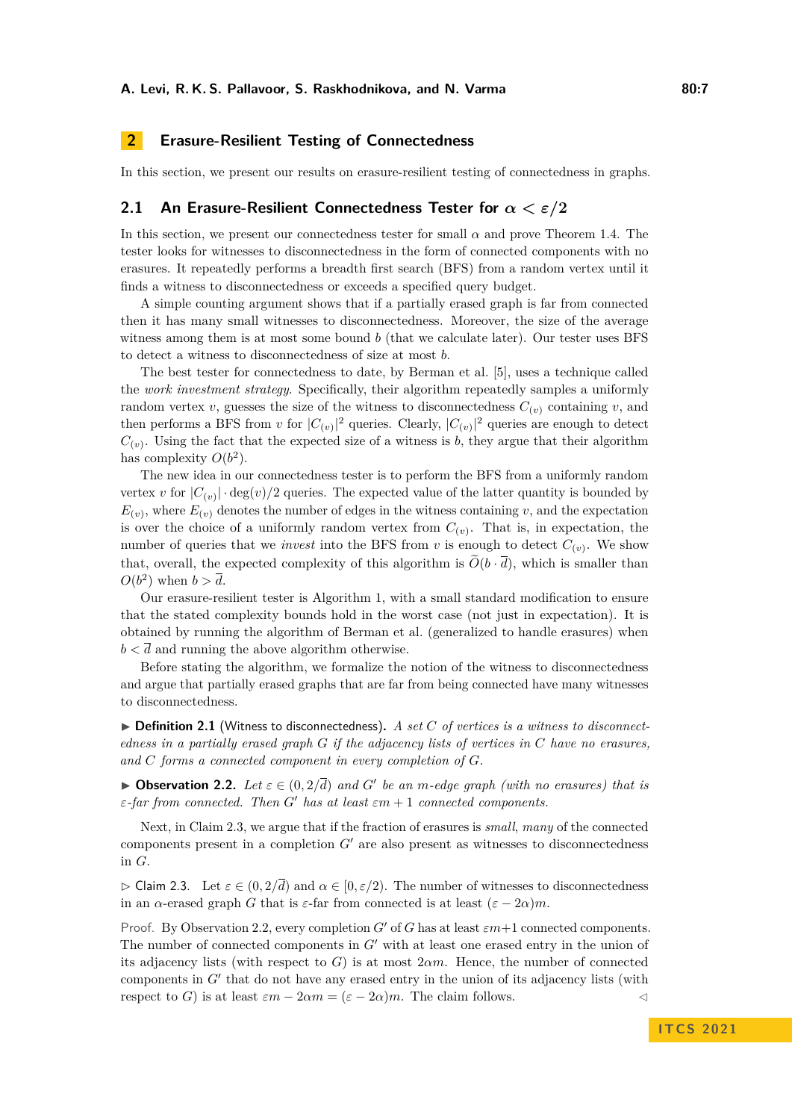# <span id="page-6-3"></span>**2 Erasure-Resilient Testing of Connectedness**

In this section, we present our results on erasure-resilient testing of connectedness in graphs.

## <span id="page-6-0"></span>**2.1 An Erasure-Resilient Connectedness Tester for** *α < ε/***2**

In this section, we present our connectedness tester for small  $\alpha$  and prove Theorem [1.4.](#page-3-1) The tester looks for witnesses to disconnectedness in the form of connected components with no erasures. It repeatedly performs a breadth first search (BFS) from a random vertex until it finds a witness to disconnectedness or exceeds a specified query budget.

A simple counting argument shows that if a partially erased graph is far from connected then it has many small witnesses to disconnectedness. Moreover, the size of the average witness among them is at most some bound *b* (that we calculate later). Our tester uses BFS to detect a witness to disconnectedness of size at most *b*.

The best tester for connectedness to date, by Berman et al. [\[5\]](#page-18-0), uses a technique called the *work investment strategy*. Specifically, their algorithm repeatedly samples a uniformly random vertex *v*, guesses the size of the witness to disconnectedness  $C_{(v)}$  containing *v*, and then performs a BFS from *v* for  $|C_{(v)}|^2$  queries. Clearly,  $|C_{(v)}|^2$  queries are enough to detect  $C_{(v)}$ . Using the fact that the expected size of a witness is *b*, they argue that their algorithm has complexity  $O(b^2)$ .

The new idea in our connectedness tester is to perform the BFS from a uniformly random vertex *v* for  $|C_{(v)}| \cdot \deg(v)/2$  queries. The expected value of the latter quantity is bounded by  $E_{(v)}$ , where  $E_{(v)}$  denotes the number of edges in the witness containing *v*, and the expectation is over the choice of a uniformly random vertex from  $C_{(v)}$ . That is, in expectation, the number of queries that we *invest* into the BFS from  $v$  is enough to detect  $C_{(v)}$ . We show that, overall, the expected complexity of this algorithm is  $\tilde{O}(b \cdot \overline{d})$ , which is smaller than  $O(b^2)$  when  $b > \overline{d}$ .

Our erasure-resilient tester is Algorithm [1,](#page-7-0) with a small standard modification to ensure that the stated complexity bounds hold in the worst case (not just in expectation). It is obtained by running the algorithm of Berman et al. (generalized to handle erasures) when  $b < d$  and running the above algorithm otherwise.

Before stating the algorithm, we formalize the notion of the witness to disconnectedness and argue that partially erased graphs that are far from being connected have many witnesses to disconnectedness.

▶ **Definition 2.1** (Witness to disconnectedness). A set C of vertices is a witness to disconnect*edness in a partially erased graph G if the adjacency lists of vertices in C have no erasures, and C forms a connected component in every completion of G.*

<span id="page-6-2"></span>**▶ Observation 2.2.** *Let*  $\varepsilon \in (0, 2/\overline{d})$  *and G*<sup>*'*</sup> *be an m-edge graph (with no erasures) that is ε-far from connected. Then*  $G'$  *has at least*  $\varepsilon m + 1$  *connected components.* 

Next, in Claim [2.3,](#page-6-1) we argue that if the fraction of erasures is *small*, *many* of the connected components present in a completion  $G'$  are also present as witnesses to disconnectedness in *G*.

<span id="page-6-1"></span> $\triangleright$  Claim 2.3. Let  $\varepsilon \in (0, 2/\overline{d})$  and  $\alpha \in [0, \varepsilon/2)$ . The number of witnesses to disconnectedness in an *α*-erased graph *G* that is  $\varepsilon$ -far from connected is at least  $(\varepsilon - 2\alpha)m$ .

Proof. By Observation [2.2,](#page-6-2) every completion *G'* of *G* has at least  $\varepsilon m+1$  connected components. The number of connected components in  $G'$  with at least one erased entry in the union of its adjacency lists (with respect to  $G$ ) is at most  $2\alpha m$ . Hence, the number of connected components in  $G'$  that do not have any erased entry in the union of its adjacency lists (with respect to *G*) is at least  $\varepsilon m - 2\alpha m = (\varepsilon - 2\alpha)m$ . The claim follows.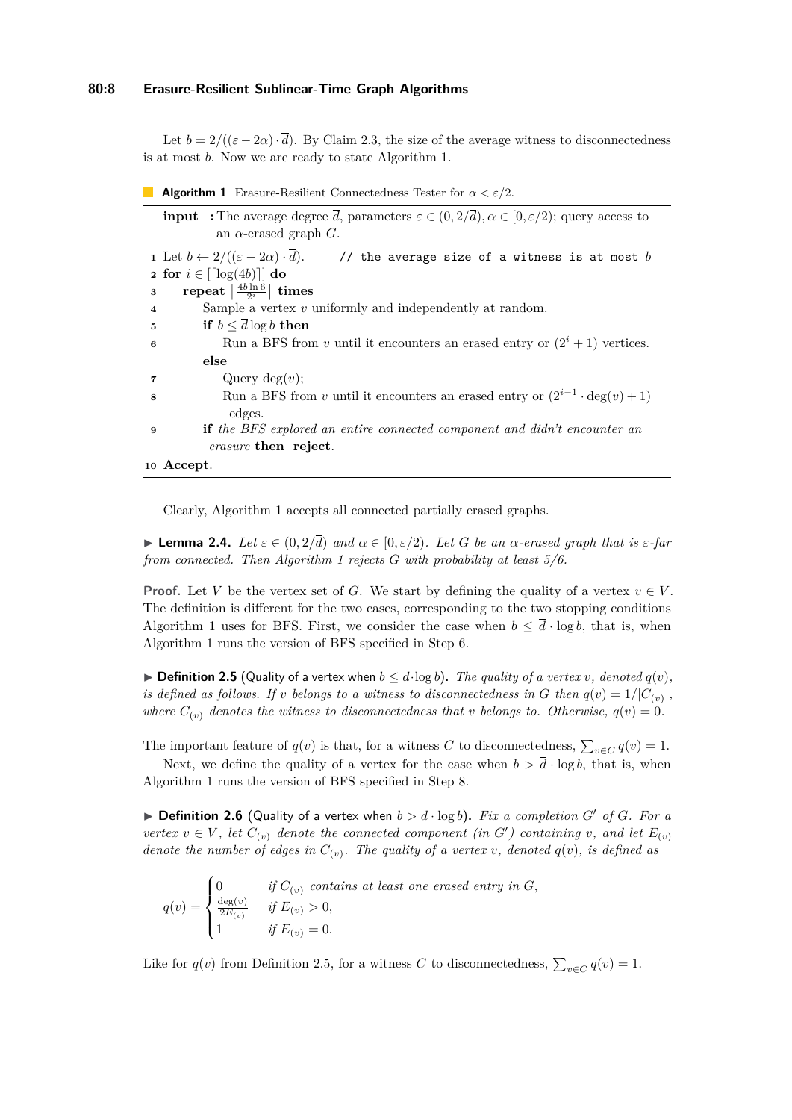## **80:8 Erasure-Resilient Sublinear-Time Graph Algorithms**

Let  $b = 2/((\varepsilon - 2\alpha) \cdot \overline{d})$ . By Claim [2.3,](#page-6-1) the size of the average witness to disconnectedness is at most *b*. Now we are ready to state Algorithm [1.](#page-7-0)

|  |  | <b>Algorithm 1</b> Erasure-Resilient Connectedness Tester for $\alpha < \varepsilon/2$ . |  |  |  |  |  |  |  |
|--|--|------------------------------------------------------------------------------------------|--|--|--|--|--|--|--|
|--|--|------------------------------------------------------------------------------------------|--|--|--|--|--|--|--|

<span id="page-7-1"></span><span id="page-7-0"></span>

| <b>input</b> : The average degree d, parameters $\varepsilon \in (0, 2/d)$ , $\alpha \in [0, \varepsilon/2)$ ; query access to |  |  |  |  |  |  |
|--------------------------------------------------------------------------------------------------------------------------------|--|--|--|--|--|--|
| an $\alpha$ -erased graph G.                                                                                                   |  |  |  |  |  |  |
| 1 Let $b \leftarrow 2/((\varepsilon - 2\alpha) \cdot d)$ . // the average size of a witness is at most b                       |  |  |  |  |  |  |
| 2 for $i \in \lfloor \lceil \log(4b) \rceil \rfloor$ do                                                                        |  |  |  |  |  |  |
| repeat $\left\lceil \frac{4b\ln 6}{2i} \right\rceil$ times<br>$\bf{3}$                                                         |  |  |  |  |  |  |
| Sample a vertex $v$ uniformly and independently at random.<br>$\overline{\bf 4}$                                               |  |  |  |  |  |  |
| if $b \leq d \log b$ then<br>5                                                                                                 |  |  |  |  |  |  |
| Run a BFS from v until it encounters an erased entry or $(2^i + 1)$ vertices.                                                  |  |  |  |  |  |  |
| else                                                                                                                           |  |  |  |  |  |  |
| Query $deg(v)$ ;<br>7                                                                                                          |  |  |  |  |  |  |
| Run a BFS from v until it encounters an erased entry or $(2^{i-1} \cdot \deg(v) + 1)$                                          |  |  |  |  |  |  |
| edges.                                                                                                                         |  |  |  |  |  |  |
| <b>if</b> the BFS explored an entire connected component and didn't encounter an<br>9                                          |  |  |  |  |  |  |
| <i>erasure</i> then reject.                                                                                                    |  |  |  |  |  |  |
| 10 Accept.                                                                                                                     |  |  |  |  |  |  |

<span id="page-7-5"></span><span id="page-7-2"></span>Clearly, Algorithm [1](#page-7-0) accepts all connected partially erased graphs.

<span id="page-7-4"></span>**Example 2.4.** *Let*  $\varepsilon \in (0, 2/\overline{d})$  *and*  $\alpha \in [0, \varepsilon/2)$ *. Let G be an*  $\alpha$ *-erased graph that is*  $\varepsilon$ *-far from connected. Then Algorithm [1](#page-7-0) rejects G with probability at least 5/6.*

**Proof.** Let *V* be the vertex set of *G*. We start by defining the quality of a vertex  $v \in V$ . The definition is different for the two cases, corresponding to the two stopping conditions Algorithm [1](#page-7-0) uses for BFS. First, we consider the case when  $b \leq d \cdot \log b$ , that is, when Algorithm [1](#page-7-0) runs the version of BFS specified in Step [6.](#page-7-1)

<span id="page-7-3"></span>▶ **Definition 2.5** (Quality of a vertex when  $b \leq \overline{d} \cdot \log b$ ). The quality of a vertex v, denoted  $q(v)$ , *is defined as follows. If v belongs to a witness to disconnectedness in G then*  $q(v) = 1/|C_{(v)}|$ , *where*  $C_{(v)}$  *denotes the witness to disconnectedness that v belongs to. Otherwise*,  $q(v) = 0$ *.* 

The important feature of  $q(v)$  is that, for a witness *C* to disconnectedness,  $\sum_{v \in C} q(v) = 1$ .

Next, we define the quality of a vertex for the case when  $b > \overline{d} \cdot \log b$ , that is, when Algorithm [1](#page-7-0) runs the version of BFS specified in Step [8.](#page-7-2)

 $\triangleright$  **Definition 2.6** (Quality of a vertex when  $b > \overline{d} \cdot \log b$ ). *Fix a completion G'* of *G. For a vertex*  $v \in V$ , let  $C_{(v)}$  denote the connected component (in  $G'$ ) containing v, and let  $E_{(v)}$ *denote the number of edges in*  $C_{(v)}$ . The quality of a vertex *v*, denoted  $q(v)$ , is defined as

$$
q(v) = \begin{cases} 0 & \text{if } C_{(v)} \text{ contains at least one erased entry in } G, \\ \frac{\deg(v)}{2E_{(v)}} & \text{if } E_{(v)} > 0, \\ 1 & \text{if } E_{(v)} = 0. \end{cases}
$$

Like for  $q(v)$  from Definition [2.5,](#page-7-3) for a witness *C* to disconnectedness,  $\sum_{v \in C} q(v) = 1$ .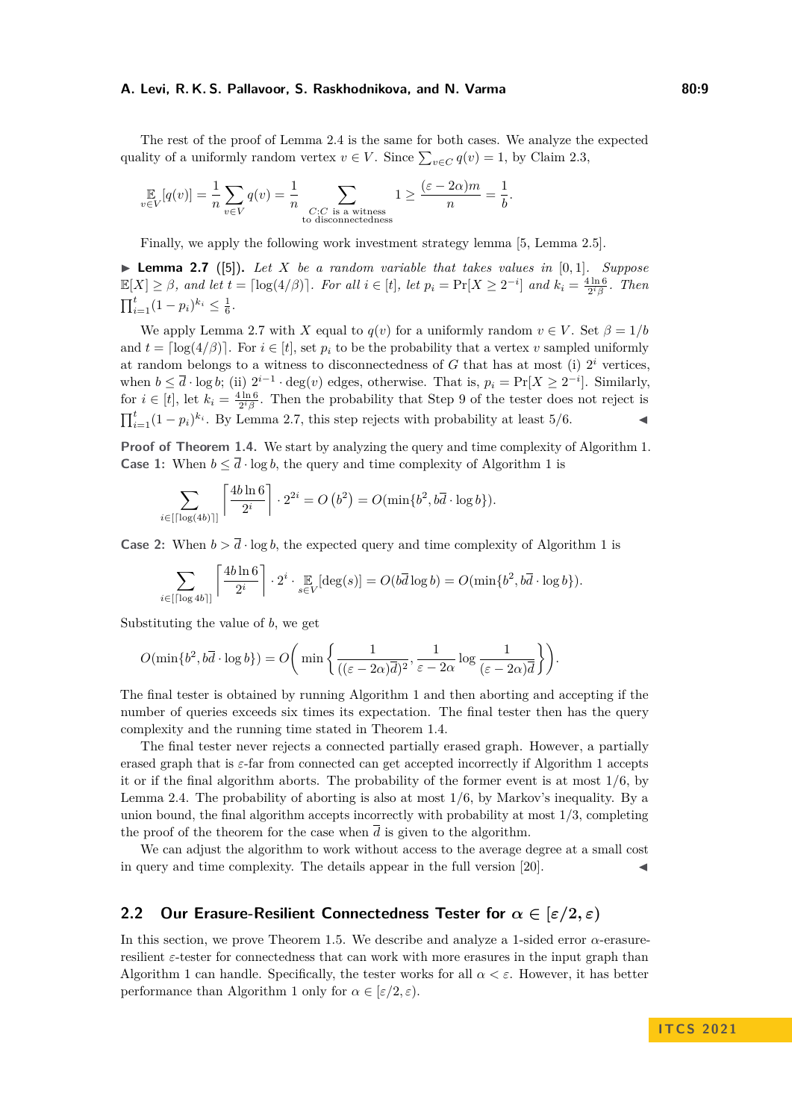#### **A. Levi, R. K. S. Pallavoor, S. Raskhodnikova, and N. Varma 80:9**

The rest of the proof of Lemma [2.4](#page-7-4) is the same for both cases. We analyze the expected quality of a uniformly random vertex  $v \in V$ . Since  $\sum_{v \in C} q(v) = 1$ , by Claim [2.3,](#page-6-1)

$$
\mathop{\mathbb{E}}_{v \in V}[q(v)] = \frac{1}{n} \sum_{v \in V} q(v) = \frac{1}{n} \sum_{\substack{C: C \text{ is a witness} \\ \text{to disconnectedness}}} 1 \ge \frac{(\varepsilon - 2\alpha)m}{n} = \frac{1}{b}.
$$

Finally, we apply the following work investment strategy lemma [\[5,](#page-18-0) Lemma 2.5].

<span id="page-8-1"></span>**Example 2.7** ([\[5\]](#page-18-0)). Let X be a random variable that takes values in  $[0, 1]$ . Suppose  $\mathbb{E}[X] \geq \beta$ , and let  $t = \lceil \log(4/\beta) \rceil$ . For all  $i \in [t]$ , let  $p_i = \Pr[X \geq 2^{-i}]$  and  $k_i = \frac{4 \ln 6}{2^i \beta}$ . Then  $\prod_{i=1}^{t} (1 - p_i)^{k_i} \leq \frac{1}{6}.$ 

We apply Lemma [2.7](#page-8-1) with *X* equal to  $q(v)$  for a uniformly random  $v \in V$ . Set  $\beta = 1/b$ and  $t = \lceil \log(4/\beta) \rceil$ . For  $i \in [t]$ , set  $p_i$  to be the probability that a vertex *v* sampled uniformly at random belongs to a witness to disconnectedness of  $G$  that has at most (i)  $2^i$  vertices, when  $b \leq \overline{d} \cdot \log b$ ; (ii)  $2^{i-1} \cdot \deg(v)$  edges, otherwise. That is,  $p_i = \Pr[X \geq 2^{-i}]$ . Similarly, for  $i \in [t]$ , let  $k_i = \frac{4 \ln 6}{2^i \beta}$ . Then the probability that Step [9](#page-7-5) of the tester does not reject is  $\prod_{i=1}^{t} (1 - p_i)^{k_i}$ . By Lemma [2.7,](#page-8-1) this step rejects with probability at least 5/6.

**Proof of Theorem [1.4.](#page-3-1)** We start by analyzing the query and time complexity of Algorithm [1.](#page-7-0) **Case [1](#page-7-0):** When  $b \leq \overline{d} \cdot \log b$ , the query and time complexity of Algorithm 1 is

$$
\sum_{i \in \left\lceil \lceil \log(4b) \rceil \right\rceil} \left\lceil \frac{4b \ln 6}{2^i} \right\rceil \cdot 2^{2i} = O\left(b^2\right) = O(\min\{b^2, b\overline{d} \cdot \log b\}).
$$

**Case 2:** When  $b > \overline{d} \cdot \log b$ , the expected query and time complexity of Algorithm [1](#page-7-0) is

$$
\sum_{i \in [\lceil \log 4b \rceil]} \left\lceil \frac{4b \ln 6}{2^i} \right\rceil \cdot 2^i \cdot \mathop{\mathbb{E}}_{s \in V} [\deg(s)] = O(b\overline{d} \log b) = O(\min\{b^2, b\overline{d} \cdot \log b\}).
$$

Substituting the value of *b*, we get

$$
O(\min\{b^2, b\overline{d}\cdot\log b\}) = O\bigg(\min\bigg\{\frac{1}{((\varepsilon-2\alpha)\overline{d})^2}, \frac{1}{\varepsilon-2\alpha}\log\frac{1}{(\varepsilon-2\alpha)\overline{d}}\bigg\}\bigg).
$$

The final tester is obtained by running Algorithm [1](#page-7-0) and then aborting and accepting if the number of queries exceeds six times its expectation. The final tester then has the query complexity and the running time stated in Theorem [1.4.](#page-3-1)

The final tester never rejects a connected partially erased graph. However, a partially erased graph that is *ε*-far from connected can get accepted incorrectly if Algorithm [1](#page-7-0) accepts it or if the final algorithm aborts. The probability of the former event is at most  $1/6$ , by Lemma [2.4.](#page-7-4) The probability of aborting is also at most 1/6, by Markov's inequality. By a union bound, the final algorithm accepts incorrectly with probability at most  $1/3$ , completing the proof of the theorem for the case when  $\overline{d}$  is given to the algorithm.

We can adjust the algorithm to work without access to the average degree at a small cost in query and time complexity. The details appear in the full version  $[20]$ .

# <span id="page-8-0"></span>**2.2 Our Erasure-Resilient Connectedness Tester for** *α* **∈ [***ε/***2***, ε***)**

In this section, we prove Theorem [1.5.](#page-4-0) We describe and analyze a 1-sided error *α*-erasureresilient *ε*-tester for connectedness that can work with more erasures in the input graph than Algorithm [1](#page-7-0) can handle. Specifically, the tester works for all  $\alpha < \varepsilon$ . However, it has better performance than Algorithm [1](#page-7-0) only for  $\alpha \in [\varepsilon/2, \varepsilon)$ .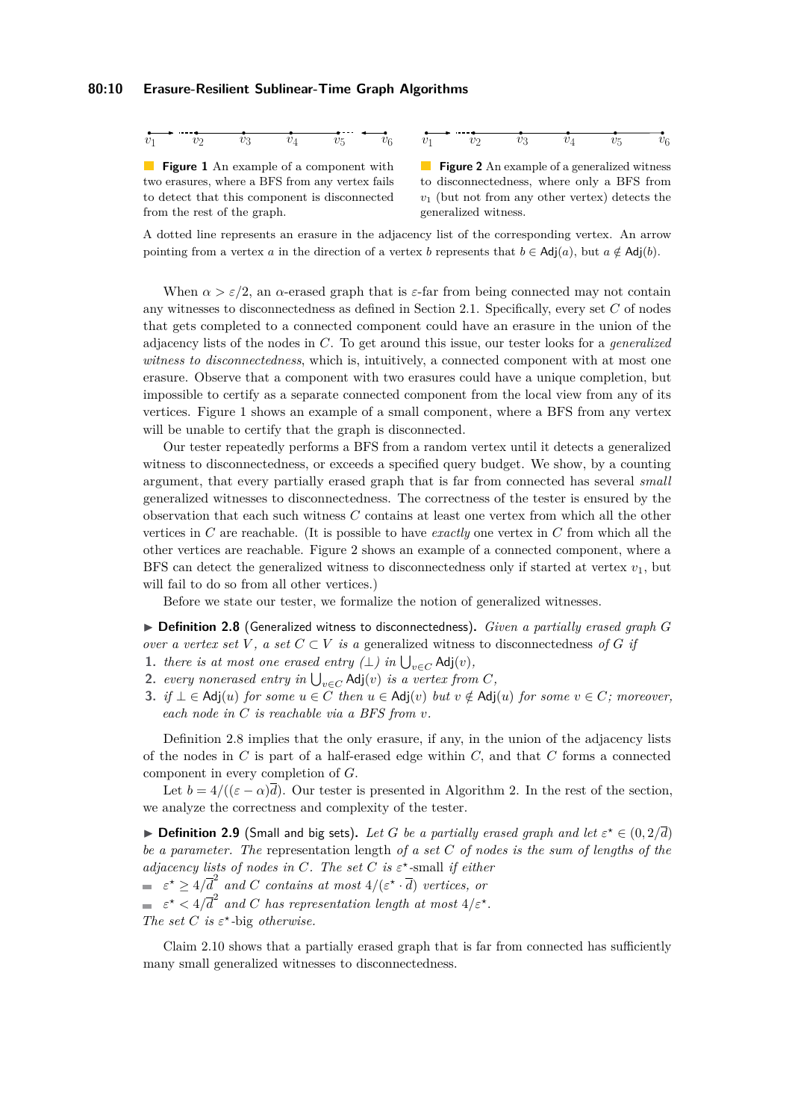<span id="page-9-0"></span>

**Figure 1** An example of a component with two erasures, where a BFS from any vertex fails to detect that this component is disconnected from the rest of the graph.

 $v_1$   $v_2$   $v_3$   $v_4$   $v_5$   $v_6$ 

**Figure 2** An example of a generalized witness to disconnectedness, where only a BFS from *v*<sup>1</sup> (but not from any other vertex) detects the generalized witness.

A dotted line represents an erasure in the adjacency list of the corresponding vertex. An arrow pointing from a vertex *a* in the direction of a vertex *b* represents that  $b \in Adj(a)$ , but  $a \notin Adj(b)$ .

When  $\alpha > \varepsilon/2$ , an  $\alpha$ -erased graph that is  $\varepsilon$ -far from being connected may not contain any witnesses to disconnectedness as defined in Section [2.1.](#page-6-0) Specifically, every set *C* of nodes that gets completed to a connected component could have an erasure in the union of the adjacency lists of the nodes in *C*. To get around this issue, our tester looks for a *generalized witness to disconnectedness*, which is, intuitively, a connected component with at most one erasure. Observe that a component with two erasures could have a unique completion, but impossible to certify as a separate connected component from the local view from any of its vertices. Figure [1](#page-9-0) shows an example of a small component, where a BFS from any vertex will be unable to certify that the graph is disconnected.

Our tester repeatedly performs a BFS from a random vertex until it detects a generalized witness to disconnectedness, or exceeds a specified query budget. We show, by a counting argument, that every partially erased graph that is far from connected has several *small* generalized witnesses to disconnectedness. The correctness of the tester is ensured by the observation that each such witness *C* contains at least one vertex from which all the other vertices in *C* are reachable. (It is possible to have *exactly* one vertex in *C* from which all the other vertices are reachable. Figure [2](#page-9-0) shows an example of a connected component, where a BFS can detect the generalized witness to disconnectedness only if started at vertex  $v_1$ , but will fail to do so from all other vertices.)

Before we state our tester, we formalize the notion of generalized witnesses.

<span id="page-9-1"></span>I **Definition 2.8** (Generalized witness to disconnectedness)**.** *Given a partially erased graph G over a vertex set*  $V$ , a set  $C \subset V$  *is a* generalized witness to disconnectedness of G if

- <span id="page-9-3"></span>**1.** *there is at most one erased entry (* $\perp$ *) <i>in*  $\bigcup_{v \in C}$  Adj(*v*)*,*
- <span id="page-9-4"></span>**2.** *every nonerased entry in*  $\bigcup_{v \in C}$  Adj $(v)$  *is a vertex from C*,
- <span id="page-9-5"></span>**3.** *if* ⊥ ∈ Adj(*u*) *for some*  $u \in C$  *then*  $u \in$  Adj(*v*) *but*  $v \notin$  Adj(*u*) *for some*  $v \in C$ *; moreover, each node in C is reachable via a BFS from v.*

Definition [2.8](#page-9-1) implies that the only erasure, if any, in the union of the adjacency lists of the nodes in *C* is part of a half-erased edge within *C,* and that *C* forms a connected component in every completion of *G*.

Let  $b = 4/((\epsilon - \alpha)\overline{d})$ . Our tester is presented in Algorithm [2.](#page-10-0) In the rest of the section, we analyze the correctness and complexity of the tester.

**Definition 2.9** (Small and big sets). Let G be a partially erased graph and let  $\varepsilon^* \in (0, 2/\overline{d})$ *be a parameter. The* representation length *of a set C of nodes is the sum of lengths of the adjacency lists of nodes in C. The set C is*  $\varepsilon^*$ -small *if either*  $\epsilon^* \geq 4/\overline{d}^2$  and *C* contains at most  $4/(\epsilon^* \cdot \overline{d})$  vertices, or

 $\epsilon^*$  <  $4/\overline{d}^2$  and *C* has representation length at most  $4/\epsilon^*$ .

*The set C is*  $\varepsilon^*$ -big *otherwise.* 

<span id="page-9-2"></span>Claim [2.10](#page-9-2) shows that a partially erased graph that is far from connected has sufficiently many small generalized witnesses to disconnectedness.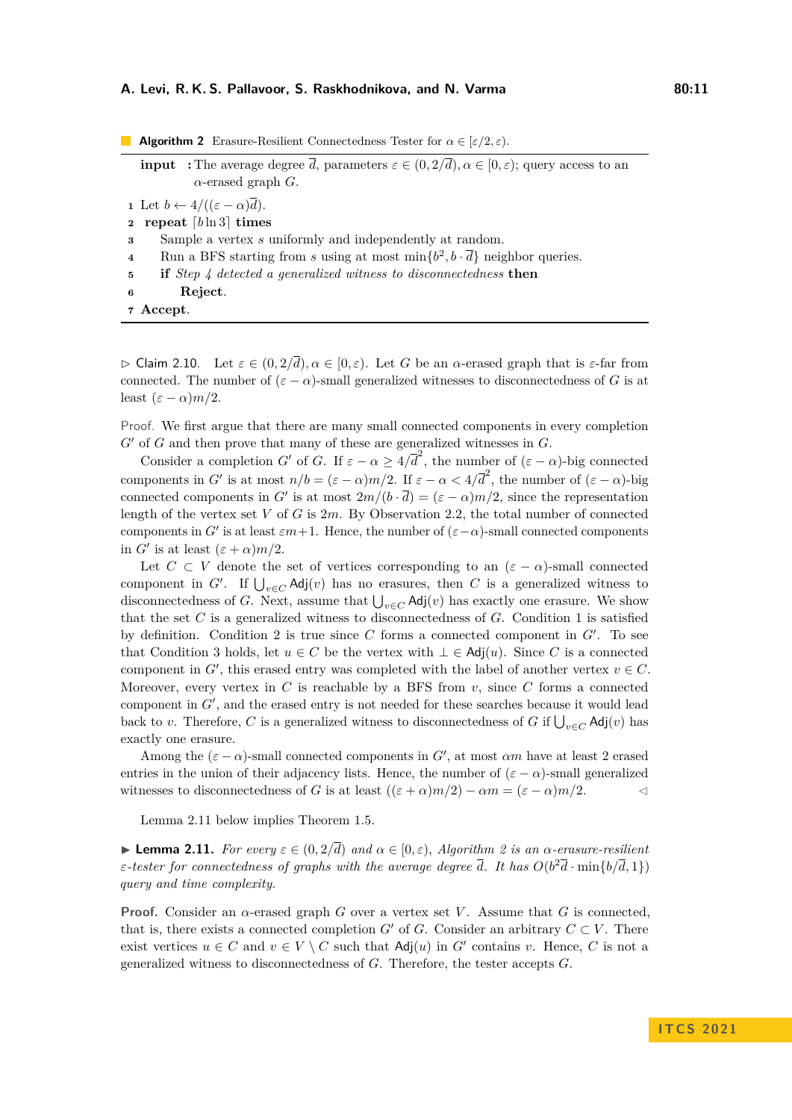#### **A. Levi, R. K. S. Pallavoor, S. Raskhodnikova, and N. Varma 60:11** 60:11

<span id="page-10-0"></span>

| <b>Algorithm 2</b> Erasure-Resilient Connectedness Tester for $\alpha \in [\varepsilon/2, \varepsilon]$ .                                                                             |
|---------------------------------------------------------------------------------------------------------------------------------------------------------------------------------------|
| <b>input</b> : The average degree $\overline{d}$ , parameters $\varepsilon \in (0, 2/\overline{d})$ , $\alpha \in [0, \varepsilon)$ ; query access to an<br>$\alpha$ -erased graph G. |
| 1 Let $b \leftarrow 4/((\varepsilon - \alpha)\overline{d})$ .                                                                                                                         |
| repeat $[b \ln 3]$ times<br>$\mathbf{2}$                                                                                                                                              |
| Sample a vertex s uniformly and independently at random.<br>3                                                                                                                         |
| Run a BFS starting from s using at most $\min\{b^2, b\cdot \overline{d}\}\$ neighbor queries.<br>$\overline{\bf 4}$                                                                   |
| if Step 4 detected a generalized witness to disconnectedness then<br>5                                                                                                                |
| Reject.<br>6                                                                                                                                                                          |
| Accept.                                                                                                                                                                               |

<span id="page-10-3"></span><span id="page-10-1"></span> $\triangleright$  Claim 2.10. Let  $\varepsilon \in (0, 2/\overline{d}), \alpha \in [0, \varepsilon)$ . Let *G* be an *α*-erased graph that is  $\varepsilon$ -far from connected. The number of  $(\varepsilon - \alpha)$ -small generalized witnesses to disconnectedness of *G* is at least  $(\varepsilon - \alpha)m/2$ .

Proof. We first argue that there are many small connected components in every completion  $G'$  of  $G$  and then prove that many of these are generalized witnesses in  $G$ .

Consider a completion *G*<sup>'</sup> of *G*. If  $\varepsilon - \alpha \geq 4/\overline{d}^2$ , the number of  $(\varepsilon - \alpha)$ -big connected components in *G*<sup> $\prime$ </sup> is at most  $n/b = (\varepsilon - \alpha)m/2$ . If  $\varepsilon - \alpha < 4/\overline{d}^2$ , the number of  $(\varepsilon - \alpha)$ -big connected components in *G'* is at most  $2m/(b \cdot \overline{d}) = (\varepsilon - \alpha)m/2$ , since the representation length of the vertex set *V* of *G* is 2*m*. By Observation [2.2,](#page-6-2) the total number of connected components in *G*<sup> $\prime$ </sup> is at least  $\varepsilon m+1$ . Hence, the number of  $(\varepsilon-\alpha)$ -small connected components in *G'* is at least  $(\varepsilon + \alpha)m/2$ .

Let  $C \subset V$  denote the set of vertices corresponding to an  $(\varepsilon - \alpha)$ -small connected component in  $G'$ . If  $\bigcup_{v \in C} \mathsf{Adj}(v)$  has no erasures, then *C* is a generalized witness to disconnectedness of *G*. Next, assume that  $\bigcup_{v \in C}$  Adj $(v)$  has exactly one erasure. We show that the set *C* is a generalized witness to disconnectedness of *G*. Condition [1](#page-9-3) is satisfied by definition. Condition [2](#page-9-4) is true since  $C$  forms a connected component in  $G'$ . To see that Condition [3](#page-9-5) holds, let  $u \in C$  be the vertex with  $\bot \in Adj(u)$ . Since C is a connected component in  $G'$ , this erased entry was completed with the label of another vertex  $v \in C$ . Moreover, every vertex in  $C$  is reachable by a BFS from  $v$ , since  $C$  forms a connected component in  $G'$ , and the erased entry is not needed for these searches because it would lead back to *v*. Therefore, *C* is a generalized witness to disconnectedness of *G* if  $\bigcup_{v \in C}$  Adj $(v)$  has exactly one erasure.

Among the  $(\varepsilon - \alpha)$ -small connected components in G', at most  $\alpha m$  have at least 2 erased entries in the union of their adjacency lists. Hence, the number of  $(\varepsilon - \alpha)$ -small generalized witnesses to disconnectedness of *G* is at least  $((\varepsilon + \alpha)m/2) - \alpha m = (\varepsilon - \alpha)m/2$ .

Lemma [2.11](#page-10-2) below implies Theorem [1.5.](#page-4-0)

<span id="page-10-2"></span>**Example [2](#page-10-0).11.** For every  $\varepsilon \in (0, 2/\overline{d})$  and  $\alpha \in [0, \varepsilon)$ , Algorithm 2 is an  $\alpha$ -erasure-resilient *ε-tester for connectedness of graphs with the average degree*  $\overline{d}$ *. It has*  $O(b^2\overline{d} \cdot \min\{b/\overline{d}, 1\})$ *query and time complexity.*

**Proof.** Consider an  $\alpha$ -erased graph *G* over a vertex set *V*. Assume that *G* is connected, that is, there exists a connected completion *G'* of *G*. Consider an arbitrary  $C \subset V$ . There exist vertices  $u \in C$  and  $v \in V \setminus C$  such that  $\text{Adj}(u)$  in  $G'$  contains *v*. Hence, *C* is not a generalized witness to disconnectedness of *G*. Therefore, the tester accepts *G*.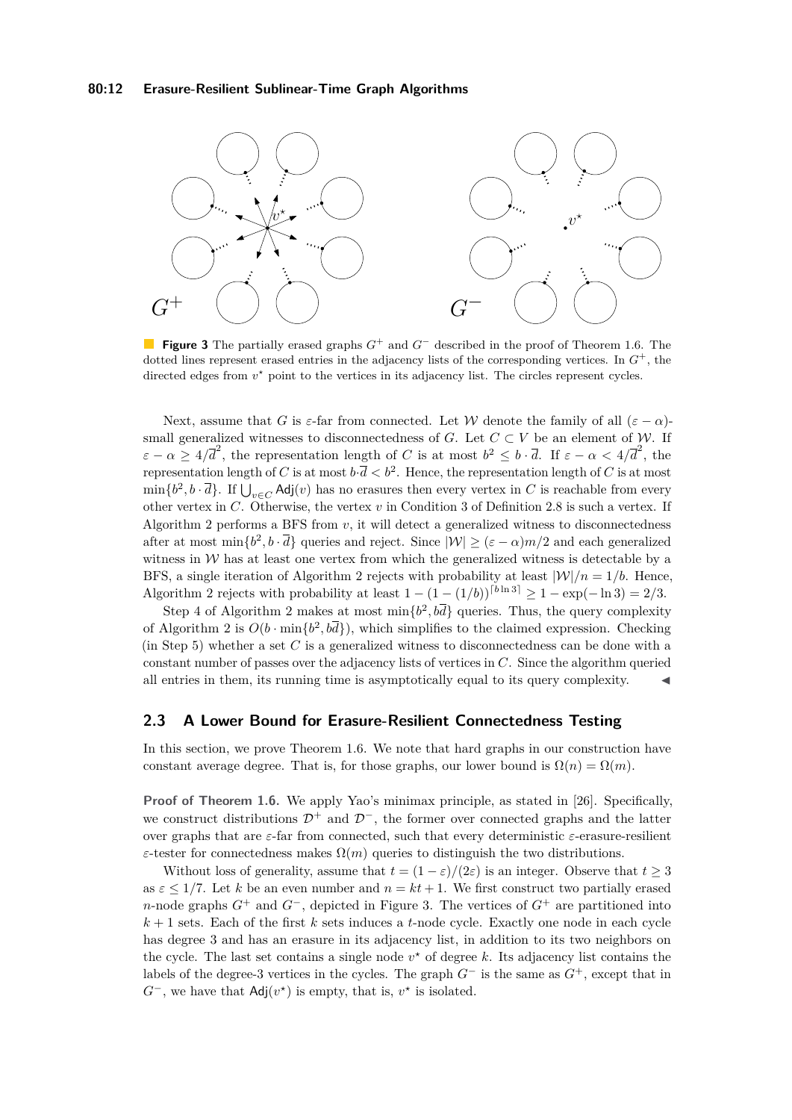### **80:12 Erasure-Resilient Sublinear-Time Graph Algorithms**

<span id="page-11-1"></span>

**Figure 3** The partially erased graphs  $G^+$  and  $G^-$  described in the proof of Theorem [1.6.](#page-4-1) The dotted lines represent erased entries in the adjacency lists of the corresponding vertices. In *G* <sup>+</sup>, the directed edges from  $v^*$  point to the vertices in its adjacency list. The circles represent cycles.

Next, assume that *G* is  $\varepsilon$ -far from connected. Let *W* denote the family of all  $(\varepsilon - \alpha)$ small generalized witnesses to disconnectedness of *G*. Let  $C \subset V$  be an element of *W*. If  $\varepsilon - \alpha \geq 4/\overline{d}^2$ , the representation length of *C* is at most  $b^2 \leq b \cdot \overline{d}$ . If  $\varepsilon - \alpha < 4/\overline{d}^2$ , the representation length of *C* is at most  $b \cdot \overline{d} < b^2$ . Hence, the representation length of *C* is at most  $\min\{b^2, b\cdot\overline{d}\}$ . If  $\bigcup_{v\in C}$  Adj $(v)$  has no erasures then every vertex in *C* is reachable from every other vertex in *C*. Otherwise, the vertex *v* in Condition [3](#page-9-5) of Definition [2.8](#page-9-1) is such a vertex. If Algorithm [2](#page-10-0) performs a BFS from *v*, it will detect a generalized witness to disconnectedness after at most  $\min\{b^2, b \cdot \overline{d}\}\$  queries and reject. Since  $|\mathcal{W}| \geq (\varepsilon - \alpha)m/2$  and each generalized witness in  $W$  has at least one vertex from which the generalized witness is detectable by a BFS, a single iteration of Algorithm [2](#page-10-0) rejects with probability at least  $|\mathcal{W}|/n = 1/b$ . Hence, Algorithm [2](#page-10-0) rejects with probability at least  $1 - (1 - (1/b))^{[b \ln 3]} \ge 1 - \exp(-\ln 3) = 2/3$ .

Step [4](#page-10-1) of Algorithm [2](#page-10-0) makes at most  $\min\{b^2, b\overline{d}\}\$  queries. Thus, the query complexity of Algorithm [2](#page-10-0) is  $O(b \cdot \min\{b^2, b\bar{d}\}),$  which simplifies to the claimed expression. Checking (in Step [5\)](#page-10-3) whether a set *C* is a generalized witness to disconnectedness can be done with a constant number of passes over the adjacency lists of vertices in *C*. Since the algorithm queried all entries in them, its running time is asymptotically equal to its query complexity. J

# <span id="page-11-0"></span>**2.3 A Lower Bound for Erasure-Resilient Connectedness Testing**

In this section, we prove Theorem [1.6.](#page-4-1) We note that hard graphs in our construction have constant average degree. That is, for those graphs, our lower bound is  $\Omega(n) = \Omega(m)$ .

**Proof of Theorem [1.6.](#page-4-1)** We apply Yao's minimax principle, as stated in [\[26\]](#page-19-13). Specifically, we construct distributions  $\mathcal{D}^+$  and  $\mathcal{D}^-$ , the former over connected graphs and the latter over graphs that are *ε*-far from connected, such that every deterministic *ε*-erasure-resilient *ε*-tester for connectedness makes  $\Omega(m)$  queries to distinguish the two distributions.

Without loss of generality, assume that  $t = (1 - \varepsilon)/(2\varepsilon)$  is an integer. Observe that  $t \geq 3$ as  $\varepsilon \leq 1/7$ . Let *k* be an even number and  $n = kt + 1$ . We first construct two partially erased *n*-node graphs  $G^+$  and  $G^-$ , depicted in Figure [3.](#page-11-1) The vertices of  $G^+$  are partitioned into  $k+1$  sets. Each of the first  $k$  sets induces a *t*-node cycle. Exactly one node in each cycle has degree 3 and has an erasure in its adjacency list, in addition to its two neighbors on the cycle. The last set contains a single node  $v^*$  of degree  $k$ . Its adjacency list contains the labels of the degree-3 vertices in the cycles. The graph *G*<sup>−</sup> is the same as *G*<sup>+</sup>, except that in  $G^-$ , we have that  $\text{Adj}(v^*)$  is empty, that is,  $v^*$  is isolated.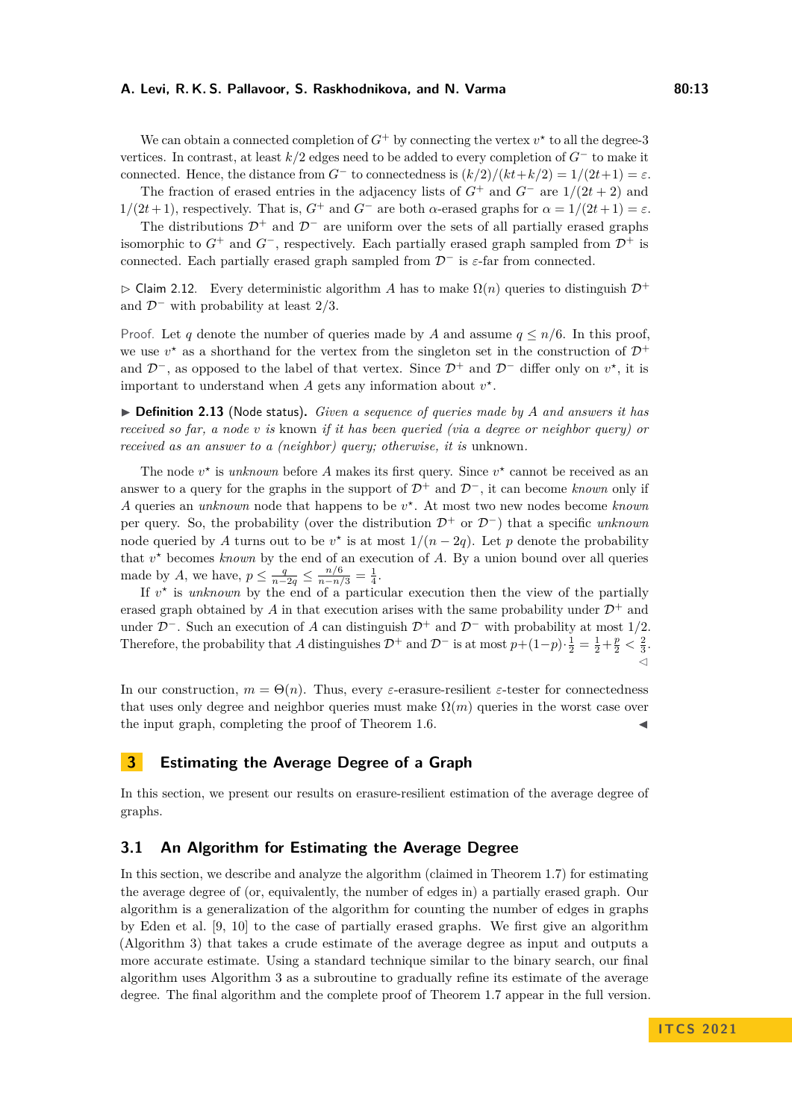### **A. Levi, R. K. S. Pallavoor, S. Raskhodnikova, and N. Varma 80:13** 80:13

We can obtain a connected completion of  $G^+$  by connecting the vertex  $v^*$  to all the degree-3 vertices. In contrast, at least *k/*2 edges need to be added to every completion of *G*<sup>−</sup> to make it connected. Hence, the distance from  $G^-$  to connectedness is  $(k/2)/(kt+k/2) = 1/(2t+1) = \varepsilon$ .

The fraction of erased entries in the adjacency lists of  $G^+$  and  $G^-$  are  $1/(2t+2)$  and 1*/*(2*t* + 1), respectively. That is, *G*<sup>+</sup> and *G*<sup>−</sup> are both *α*-erased graphs for *α* = 1*/*(2*t* + 1) = *ε*.

The distributions  $\mathcal{D}^+$  and  $\mathcal{D}^-$  are uniform over the sets of all partially erased graphs isomorphic to  $G^+$  and  $G^-$ , respectively. Each partially erased graph sampled from  $\mathcal{D}^+$  is connected. Each partially erased graph sampled from D<sup>−</sup> is *ε*-far from connected.

 $\triangleright$  Claim 2.12. Every deterministic algorithm *A* has to make  $\Omega(n)$  queries to distinguish  $\mathcal{D}^+$ and D<sup>−</sup> with probability at least 2*/*3.

Proof. Let *q* denote the number of queries made by *A* and assume  $q \leq n/6$ . In this proof, we use  $v^*$  as a shorthand for the vertex from the singleton set in the construction of  $\mathcal{D}^+$ and  $\mathcal{D}^-$ , as opposed to the label of that vertex. Since  $\mathcal{D}^+$  and  $\mathcal{D}^-$  differ only on  $v^*$ , it is important to understand when  $A$  gets any information about  $v^*$ .

▶ **Definition 2.13** (Node status). *Given a sequence of queries made by A and answers it has received so far, a node v is* known *if it has been queried (via a degree or neighbor query) or received as an answer to a (neighbor) query; otherwise, it is unknown.* 

The node  $v^*$  is *unknown* before *A* makes its first query. Since  $v^*$  cannot be received as an answer to a query for the graphs in the support of  $\mathcal{D}^+$  and  $\mathcal{D}^-$ , it can become *known* only if *A* queries an *unknown* node that happens to be *v ?* . At most two new nodes become *known* per query. So, the probability (over the distribution  $\mathcal{D}^+$  or  $\mathcal{D}^-$ ) that a specific *unknown* node queried by *A* turns out to be  $v^*$  is at most  $1/(n-2q)$ . Let *p* denote the probability that  $v^*$  becomes *known* by the end of an execution of  $A$ . By a union bound over all queries made by *A*, we have,  $p \le \frac{q}{n-2q} \le \frac{n/6}{n-n/3} = \frac{1}{4}$ .

If  $v^*$  is *unknown* by the end of a particular execution then the view of the partially erased graph obtained by A in that execution arises with the same probability under  $\mathcal{D}^+$  and under  $\mathcal{D}^-$ . Such an execution of *A* can distinguish  $\mathcal{D}^+$  and  $\mathcal{D}^-$  with probability at most 1/2. Therefore, the probability that *A* distinguishes  $\mathcal{D}^+$  and  $\mathcal{D}^-$  is at most  $p+(1-p)\cdot \frac{1}{2}=\frac{1}{2}+\frac{p}{2}<\frac{2}{3}$ .  $\check{\mathbf{C}}$ 

In our construction,  $m = \Theta(n)$ . Thus, every *ε*-erasure-resilient *ε*-tester for connectedness that uses only degree and neighbor queries must make  $\Omega(m)$  queries in the worst case over the input graph, completing the proof of Theorem [1.6.](#page-4-1)

# **3 Estimating the Average Degree of a Graph**

In this section, we present our results on erasure-resilient estimation of the average degree of graphs.

# <span id="page-12-0"></span>**3.1 An Algorithm for Estimating the Average Degree**

In this section, we describe and analyze the algorithm (claimed in Theorem [1.7\)](#page-4-2) for estimating the average degree of (or, equivalently, the number of edges in) a partially erased graph. Our algorithm is a generalization of the algorithm for counting the number of edges in graphs by Eden et al. [\[9,](#page-18-1) [10\]](#page-18-2) to the case of partially erased graphs. We first give an algorithm (Algorithm [3\)](#page-13-0) that takes a crude estimate of the average degree as input and outputs a more accurate estimate. Using a standard technique similar to the binary search, our final algorithm uses Algorithm [3](#page-13-0) as a subroutine to gradually refine its estimate of the average degree. The final algorithm and the complete proof of Theorem [1.7](#page-4-2) appear in the full version.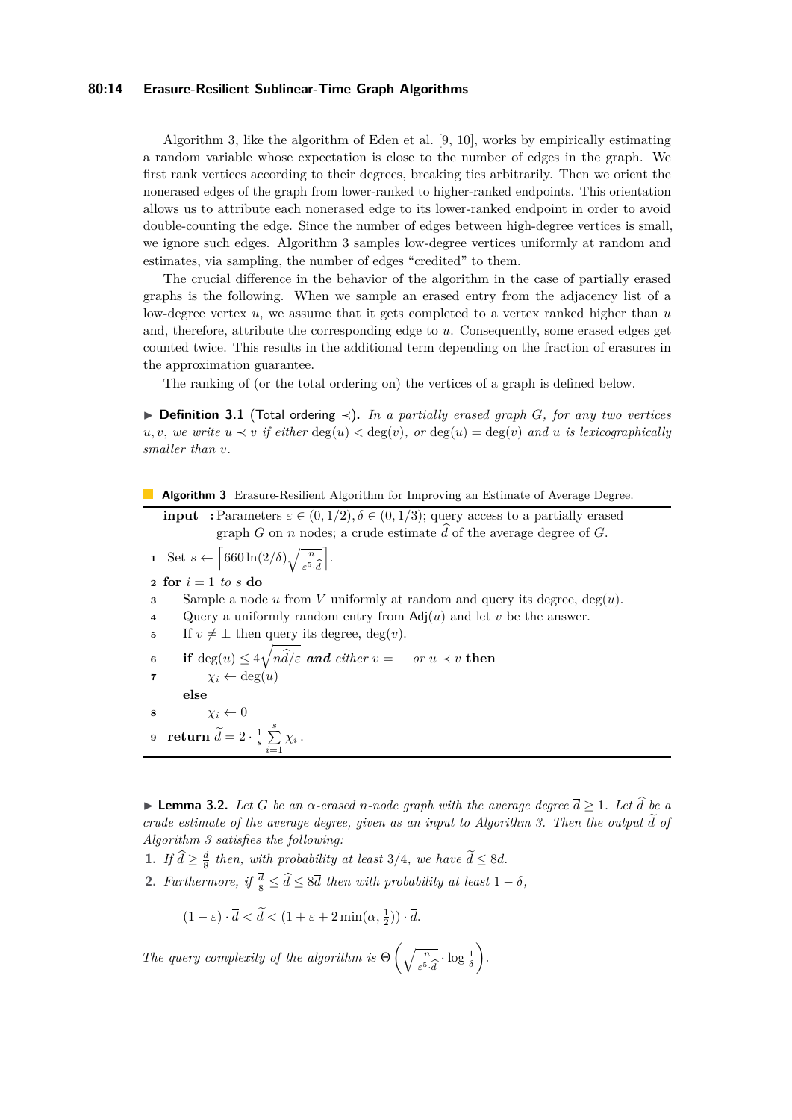### **80:14 Erasure-Resilient Sublinear-Time Graph Algorithms**

Algorithm [3,](#page-13-0) like the algorithm of Eden et al. [\[9,](#page-18-1) [10\]](#page-18-2), works by empirically estimating a random variable whose expectation is close to the number of edges in the graph. We first rank vertices according to their degrees, breaking ties arbitrarily. Then we orient the nonerased edges of the graph from lower-ranked to higher-ranked endpoints. This orientation allows us to attribute each nonerased edge to its lower-ranked endpoint in order to avoid double-counting the edge. Since the number of edges between high-degree vertices is small, we ignore such edges. Algorithm [3](#page-13-0) samples low-degree vertices uniformly at random and estimates, via sampling, the number of edges "credited" to them.

The crucial difference in the behavior of the algorithm in the case of partially erased graphs is the following. When we sample an erased entry from the adjacency list of a low-degree vertex *u*, we assume that it gets completed to a vertex ranked higher than *u* and, therefore, attribute the corresponding edge to *u*. Consequently, some erased edges get counted twice. This results in the additional term depending on the fraction of erasures in the approximation guarantee.

The ranking of (or the total ordering on) the vertices of a graph is defined below.

<span id="page-13-3"></span>I **Definition 3.1** (Total ordering ≺)**.** *In a partially erased graph G, for any two vertices u, v, we write*  $u$  ≺ *v if either* deg(*u*) < deg(*v*)*, or* deg(*u*) = deg(*v*) *and u is lexicographically smaller than v.*

|  | <b>Algorithm 3</b> Erasure-Resilient Algorithm for Improving an Estimate of Average Degree. |  |  |  |  |  |  |  |
|--|---------------------------------------------------------------------------------------------|--|--|--|--|--|--|--|
|--|---------------------------------------------------------------------------------------------|--|--|--|--|--|--|--|

<span id="page-13-0"></span>**input** : Parameters  $\varepsilon \in (0, 1/2), \delta \in (0, 1/3)$ ; query access to a partially erased graph *G* on *n* nodes; a crude estimate  $\hat{d}$  of the average degree of *G*.

**1** Set  $s \leftarrow \left[ 660 \ln(2/\delta) \sqrt{\frac{n}{\varepsilon^5 \cdot d}} \right]$ ].

**<sup>2</sup> for** *i* = 1 *to s* **do**

**<sup>3</sup>** Sample a node *u* from *V* uniformly at random and query its degree, deg(*u*).

- **<sup>4</sup>** Query a uniformly random entry from Adj(*u*) and let *v* be the answer.
- **5** If  $v \neq \perp$  then query its degree, deg(*v*).

<span id="page-13-6"></span>6 if 
$$
\deg(u) \le 4\sqrt{n\hat{d}/\varepsilon}
$$
 and either  $v = \bot$  or  $u \prec v$  then  
7  $\chi_i \leftarrow \deg(u)$   
else

**8**  $\chi_i \leftarrow 0$ 

<span id="page-13-4"></span>**9 return**  $\widetilde{d} = 2 \cdot \frac{1}{s} \sum_{i=1}^{s}$  $\sum_{i=1}$   $\chi_i$ .

<span id="page-13-5"></span>**I Lemma 3.2.** Let G be an  $\alpha$ -erased n-node graph with the average degree  $\overline{d} \geq 1$ . Let  $\widehat{d}$  be a *crude estimate of the average degree, given as an input to Algorithm [3.](#page-13-0) Then the output*  $\tilde{d}$  *of Algorithm [3](#page-13-0) satisfies the following:*

- <span id="page-13-1"></span>**1.** *If*  $\hat{d} \geq \frac{d}{8}$  then, with probability at least 3*/*4*, we have*  $\hat{d} \leq 8\overline{d}$ .
- <span id="page-13-2"></span>**2.** *Furthermore, if*  $\frac{d}{8} \leq \hat{d} \leq 8\overline{d}$  *then with probability at least*  $1 - \delta$ *,*

$$
(1 - \varepsilon) \cdot \overline{d} < \widetilde{d} < (1 + \varepsilon + 2\min(\alpha, \frac{1}{2})) \cdot \overline{d}.
$$

*The query complexity of the algorithm is*  $\Theta\left(\sqrt{\frac{n}{\varepsilon^5 \cdot d}}\right)$  $\cdot \log \frac{1}{\delta}$ *.*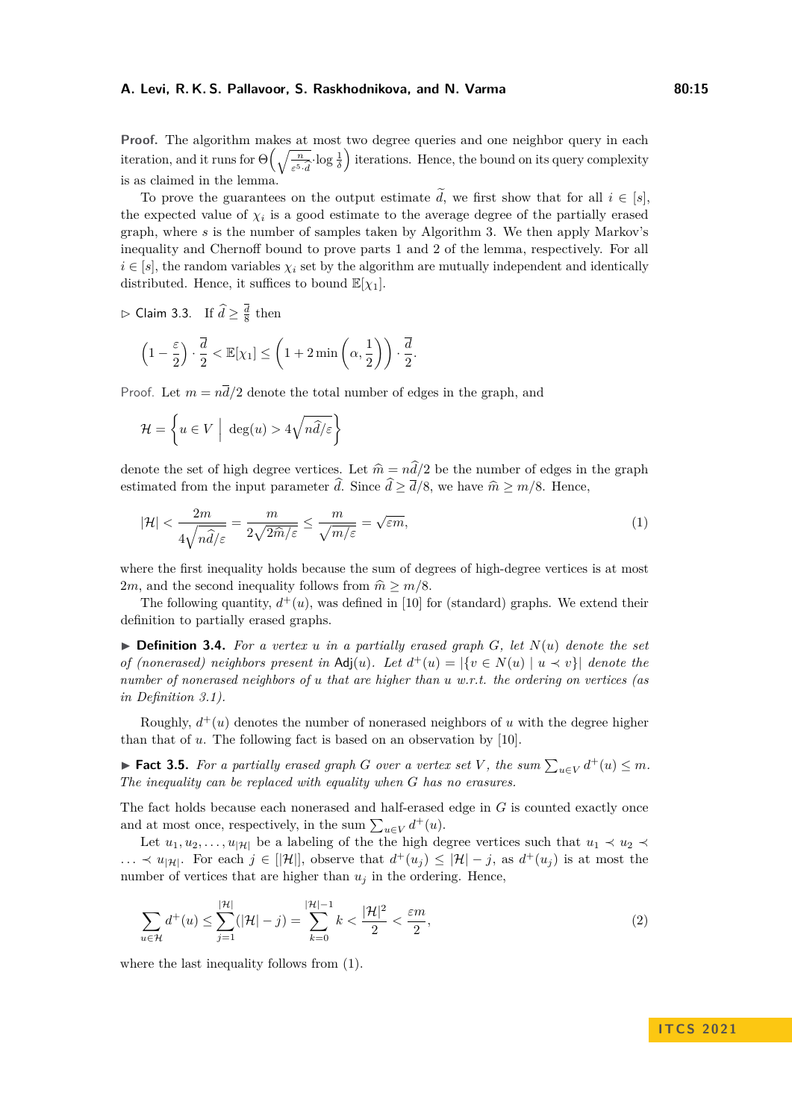### **A. Levi, R. K. S. Pallavoor, S. Raskhodnikova, and N. Varma 80:15** 80:15

**Proof.** The algorithm makes at most two degree queries and one neighbor query in each iteration, and it runs for  $\Theta\left(\sqrt{\frac{n}{\varepsilon^5 \cdot d}}\right)$  $\frac{1}{\delta}$  iterations. Hence, the bound on its query complexity is as claimed in the lemma.

To prove the guarantees on the output estimate  $\tilde{d}$ , we first show that for all  $i \in [s]$ , the expected value of  $\chi_i$  is a good estimate to the average degree of the partially erased graph, where *s* is the number of samples taken by Algorithm [3.](#page-13-0) We then apply Markov's inequality and Chernoff bound to prove parts [1](#page-13-1) and [2](#page-13-2) of the lemma, respectively. For all  $i \in [s]$ , the random variables  $\chi_i$  set by the algorithm are mutually independent and identically distributed. Hence, it suffices to bound  $\mathbb{E}[\chi_1]$ .

<span id="page-14-4"></span> $\rhd$  Claim 3.3. If  $\hat{d} \geq \frac{\overline{d}}{8}$  then

$$
\left(1 - \frac{\varepsilon}{2}\right) \cdot \frac{\overline{d}}{2} < \mathbb{E}[\chi_1] \le \left(1 + 2\min\left(\alpha, \frac{1}{2}\right)\right) \cdot \frac{\overline{d}}{2}.
$$

Proof. Let  $m = n\overline{d}/2$  denote the total number of edges in the graph, and

$$
\mathcal{H} = \left\{ u \in V \middle| \deg(u) > 4\sqrt{n\hat{d}/\varepsilon} \right\}
$$

denote the set of high degree vertices. Let  $\hat{m} = n\hat{d}/2$  be the number of edges in the graph estimated from the input parameter  $\hat{d}$ . Since  $\hat{d} \geq \overline{d}/8$ , we have  $\hat{m} \geq m/8$ . Hence,

<span id="page-14-0"></span>
$$
|\mathcal{H}| < \frac{2m}{4\sqrt{n\hat{d}/\varepsilon}} = \frac{m}{2\sqrt{2\hat{m}/\varepsilon}} \le \frac{m}{\sqrt{m/\varepsilon}} = \sqrt{\varepsilon m},\tag{1}
$$

where the first inequality holds because the sum of degrees of high-degree vertices is at most 2*m*, and the second inequality follows from  $\hat{m} \ge m/8$ .

The following quantity,  $d^+(u)$ , was defined in [\[10\]](#page-18-2) for (standard) graphs. We extend their definition to partially erased graphs.

<span id="page-14-1"></span> $\triangleright$  **Definition 3.4.** For a vertex *u* in a partially erased graph *G*, let  $N(u)$  denote the set *of (nonerased) neighbors present in*  $\text{Adj}(u)$ *. Let*  $d^+(u) = |\{v \in N(u) \mid u \prec v\}|$  denote the *number of nonerased neighbors of u that are higher than u w.r.t. the ordering on vertices (as in Definition [3.1\)](#page-13-3).*

Roughly,  $d^+(u)$  denotes the number of nonerased neighbors of *u* with the degree higher than that of *u*. The following fact is based on an observation by [\[10\]](#page-18-2).

<span id="page-14-3"></span>▶ **Fact 3.5.** For a partially erased graph *G* over a vertex set *V*, the sum  $\sum_{u \in V} d^+(u) \leq m$ . *The inequality can be replaced with equality when G has no erasures.*

The fact holds because each nonerased and half-erased edge in *G* is counted exactly once and at most once, respectively, in the sum  $\sum_{u \in V} d^+(u)$ .

Let  $u_1, u_2, \ldots, u_{|\mathcal{H}|}$  be a labeling of the the high degree vertices such that  $u_1 \prec u_2 \prec$ *...*  $\prec u_{|\mathcal{H}|}$ . For each  $j \in [|\mathcal{H}|]$ , observe that  $d^+(u_j) \leq |\mathcal{H}| - j$ , as  $d^+(u_j)$  is at most the number of vertices that are higher than  $u_j$  in the ordering. Hence,

<span id="page-14-2"></span>
$$
\sum_{u \in \mathcal{H}} d^+(u) \le \sum_{j=1}^{|\mathcal{H}|} (|\mathcal{H}| - j) = \sum_{k=0}^{|\mathcal{H}| - 1} k < \frac{|\mathcal{H}|^2}{2} < \frac{\varepsilon m}{2},\tag{2}
$$

where the last inequality follows from [\(1\)](#page-14-0).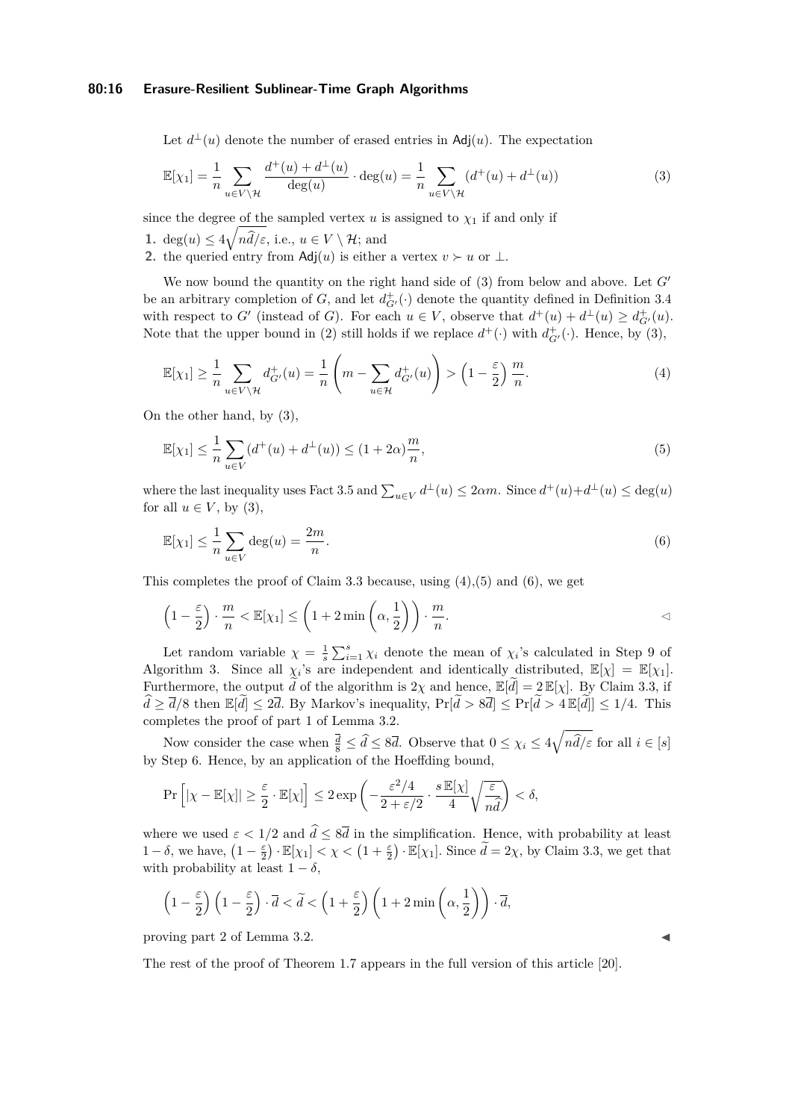### **80:16 Erasure-Resilient Sublinear-Time Graph Algorithms**

<span id="page-15-0"></span>Let  $d^{\perp}(u)$  denote the number of erased entries in Adj $(u)$ . The expectation

$$
\mathbb{E}[\chi_1] = \frac{1}{n} \sum_{u \in V \backslash \mathcal{H}} \frac{d^+(u) + d^{\perp}(u)}{\deg(u)} \cdot \deg(u) = \frac{1}{n} \sum_{u \in V \backslash \mathcal{H}} (d^+(u) + d^{\perp}(u)) \tag{3}
$$

since the degree of the sampled vertex  $u$  is assigned to  $\chi_1$  if and only if

- **1.** deg $(u) \leq 4\sqrt{n\hat{d}/\varepsilon}$ , i.e.,  $u \in V \setminus \mathcal{H}$ ; and
- 2. the queried entry from  $\text{Adj}(u)$  is either a vertex  $v \succ u$  or  $\perp$ .

We now bound the quantity on the right hand side of  $(3)$  from below and above. Let  $G'$ be an arbitrary completion of *G*, and let  $d^+_{G'}(.)$  denote the quantity defined in Definition [3.4](#page-14-1) with respect to *G*<sup> $\prime$ </sup> (instead of *G*). For each  $u \in V$ , observe that  $d^+(u) + d^{\perp}(u) \geq d^+_{G'}(u)$ . Note that the upper bound in [\(2\)](#page-14-2) still holds if we replace  $d^+(\cdot)$  with  $d^+_{G'}(\cdot)$ . Hence, by [\(3\)](#page-15-0),

<span id="page-15-1"></span>
$$
\mathbb{E}[\chi_1] \ge \frac{1}{n} \sum_{u \in V \setminus \mathcal{H}} d_{G'}^+(u) = \frac{1}{n} \left( m - \sum_{u \in \mathcal{H}} d_{G'}^+(u) \right) > \left( 1 - \frac{\varepsilon}{2} \right) \frac{m}{n}.
$$
 (4)

On the other hand, by [\(3\)](#page-15-0),

<span id="page-15-2"></span>
$$
\mathbb{E}[\chi_1] \le \frac{1}{n} \sum_{u \in V} (d^+(u) + d^{\perp}(u)) \le (1 + 2\alpha) \frac{m}{n},\tag{5}
$$

where the last inequality uses Fact [3.5](#page-14-3) and  $\sum_{u \in V} d^{\perp}(u) \leq 2\alpha m$ . Since  $d^+(u)+d^{\perp}(u) \leq \deg(u)$ for all  $u \in V$ , by [\(3\)](#page-15-0),

<span id="page-15-3"></span>
$$
\mathbb{E}[\chi_1] \le \frac{1}{n} \sum_{u \in V} \deg(u) = \frac{2m}{n}.\tag{6}
$$

This completes the proof of Claim [3.3](#page-14-4) because, using  $(4)$ ,  $(5)$  and  $(6)$ , we get

$$
\left(1 - \frac{\varepsilon}{2}\right) \cdot \frac{m}{n} < \mathbb{E}[\chi_1] \le \left(1 + 2\min\left(\alpha, \frac{1}{2}\right)\right) \cdot \frac{m}{n}.
$$

Let random variable  $\chi = \frac{1}{s} \sum_{i=1}^{s} \chi_i$  denote the mean of  $\chi_i$ 's calculated in Step [9](#page-13-4) of Algorithm [3.](#page-13-0) Since all  $\chi_i$ 's are independent and identically distributed,  $\mathbb{E}[\chi] = \mathbb{E}[\chi_1]$ . Furthermore, the output *d* of the algorithm is 2*χ* and hence,  $\mathbb{E}[\tilde{d}] = 2 \mathbb{E}[\chi]$ . By Claim [3.3,](#page-14-4) if  $\hat{d} \geq \overline{d}/8$  then  $\mathbb{E}[\tilde{d}] \leq 2\overline{d}$ . By Markov's inequality,  $\Pr[\tilde{d} > 8\overline{d}] \leq \Pr[\tilde{d} > 4\mathbb{E}[\tilde{d}]] \leq 1/4$ . This completes the proof of part [1](#page-13-1) of Lemma [3.2.](#page-13-5)

Now consider the case when  $\frac{\overline{d}}{8} \leq \hat{d} \leq 8\overline{d}$ . Observe that  $0 \leq \chi_i \leq 4\sqrt{n\hat{d}/\varepsilon}$  for all  $i \in [s]$ by Step [6.](#page-13-6) Hence, by an application of the Hoeffding bound,

$$
\Pr\left[|\chi - \mathbb{E}[\chi]| \ge \frac{\varepsilon}{2} \cdot \mathbb{E}[\chi]\right] \le 2 \exp\left(-\frac{\varepsilon^2/4}{2 + \varepsilon/2} \cdot \frac{s \mathbb{E}[\chi]}{4} \sqrt{\frac{\varepsilon}{n \hat{d}}}\right) < \delta,
$$

where we used  $\varepsilon < 1/2$  and  $\hat{d} \leq 8\overline{d}$  in the simplification. Hence, with probability at least 1 –  $\delta$ , we have,  $(1 - \frac{\varepsilon}{2}) \cdot \mathbb{E}[\chi_1] < \chi < (1 + \frac{\varepsilon}{2}) \cdot \mathbb{E}[\chi_1]$ . Since  $\widetilde{d} = 2\chi$ , by Claim [3.3,](#page-14-4) we get that with probability at least  $1 - \delta$ ,

$$
\left(1 - \frac{\varepsilon}{2}\right)\left(1 - \frac{\varepsilon}{2}\right) \cdot \overline{d} < \widetilde{d} < \left(1 + \frac{\varepsilon}{2}\right)\left(1 + 2\min\left(\alpha, \frac{1}{2}\right)\right) \cdot \overline{d},
$$

proving part [2](#page-13-2) of Lemma [3.2.](#page-13-5)

The rest of the proof of Theorem [1.7](#page-4-2) appears in the full version of this article [\[20\]](#page-19-0).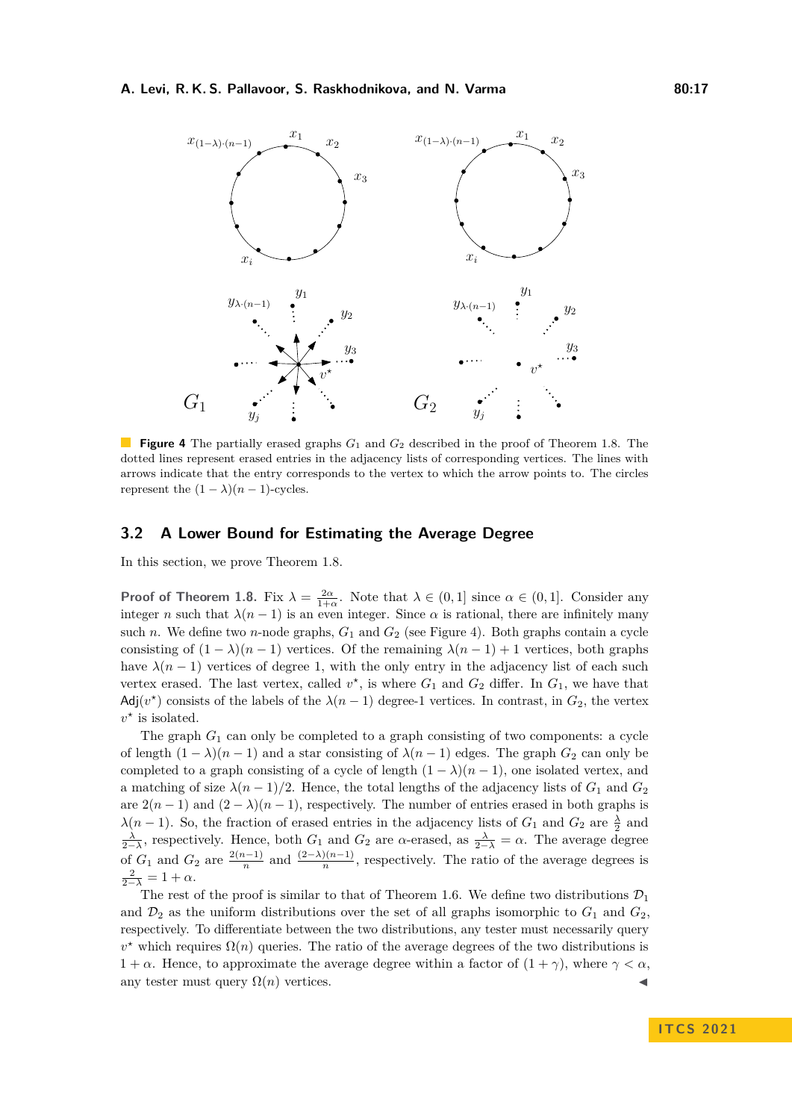<span id="page-16-1"></span>

**Figure 4** The partially erased graphs  $G_1$  and  $G_2$  described in the proof of Theorem [1.8.](#page-5-0) The dotted lines represent erased entries in the adjacency lists of corresponding vertices. The lines with arrows indicate that the entry corresponds to the vertex to which the arrow points to. The circles represent the  $(1 - \lambda)(n - 1)$ -cycles.

# <span id="page-16-0"></span>**3.2 A Lower Bound for Estimating the Average Degree**

In this section, we prove Theorem [1.8.](#page-5-0)

**Proof of Theorem [1.8.](#page-5-0)** Fix  $\lambda = \frac{2\alpha}{1+\alpha}$ . Note that  $\lambda \in (0,1]$  since  $\alpha \in (0,1]$ . Consider any integer *n* such that  $\lambda(n-1)$  is an even integer. Since  $\alpha$  is rational, there are infinitely many such *n*. We define two *n*-node graphs,  $G_1$  and  $G_2$  (see Figure [4\)](#page-16-1). Both graphs contain a cycle consisting of  $(1 - \lambda)(n - 1)$  vertices. Of the remaining  $\lambda(n - 1) + 1$  vertices, both graphs have  $\lambda(n-1)$  vertices of degree 1, with the only entry in the adjacency list of each such vertex erased. The last vertex, called  $v^*$ , is where  $G_1$  and  $G_2$  differ. In  $G_1$ , we have that Adj $(v^*)$  consists of the labels of the  $\lambda(n-1)$  degree-1 vertices. In contrast, in  $G_2$ , the vertex  $v^*$  is isolated.

The graph  $G_1$  can only be completed to a graph consisting of two components: a cycle of length  $(1 - \lambda)(n - 1)$  and a star consisting of  $\lambda(n - 1)$  edges. The graph  $G_2$  can only be completed to a graph consisting of a cycle of length  $(1 - \lambda)(n - 1)$ , one isolated vertex, and a matching of size  $\lambda(n-1)/2$ . Hence, the total lengths of the adjacency lists of  $G_1$  and  $G_2$ are  $2(n-1)$  and  $(2-\lambda)(n-1)$ , respectively. The number of entries erased in both graphs is *λ*(*n* − 1). So, the fraction of erased entries in the adjacency lists of  $G_1$  and  $G_2$  are  $\frac{\lambda}{2}$  and  $\frac{\lambda}{2-\lambda}$ , respectively. Hence, both *G*<sub>1</sub> and *G*<sub>2</sub> are *α*-erased, as  $\frac{\lambda}{2-\lambda} = \alpha$ . The average degree of  $G_1$  and  $G_2$  are  $\frac{2(n-1)}{n}$  $\frac{n^{(n-1)}}{n}$  and  $\frac{(2-\lambda)(n-1)}{n}$ , respectively. The ratio of the average degrees is  $\frac{2}{2-\lambda} = 1 + \alpha.$ 

The rest of the proof is similar to that of Theorem [1.6.](#page-4-1) We define two distributions  $\mathcal{D}_1$ and  $\mathcal{D}_2$  as the uniform distributions over the set of all graphs isomorphic to  $G_1$  and  $G_2$ , respectively. To differentiate between the two distributions, any tester must necessarily query  $v^*$  which requires  $\Omega(n)$  queries. The ratio of the average degrees of the two distributions is  $1 + \alpha$ . Hence, to approximate the average degree within a factor of  $(1 + \gamma)$ , where  $\gamma < \alpha$ . any tester must query  $\Omega(n)$  vertices.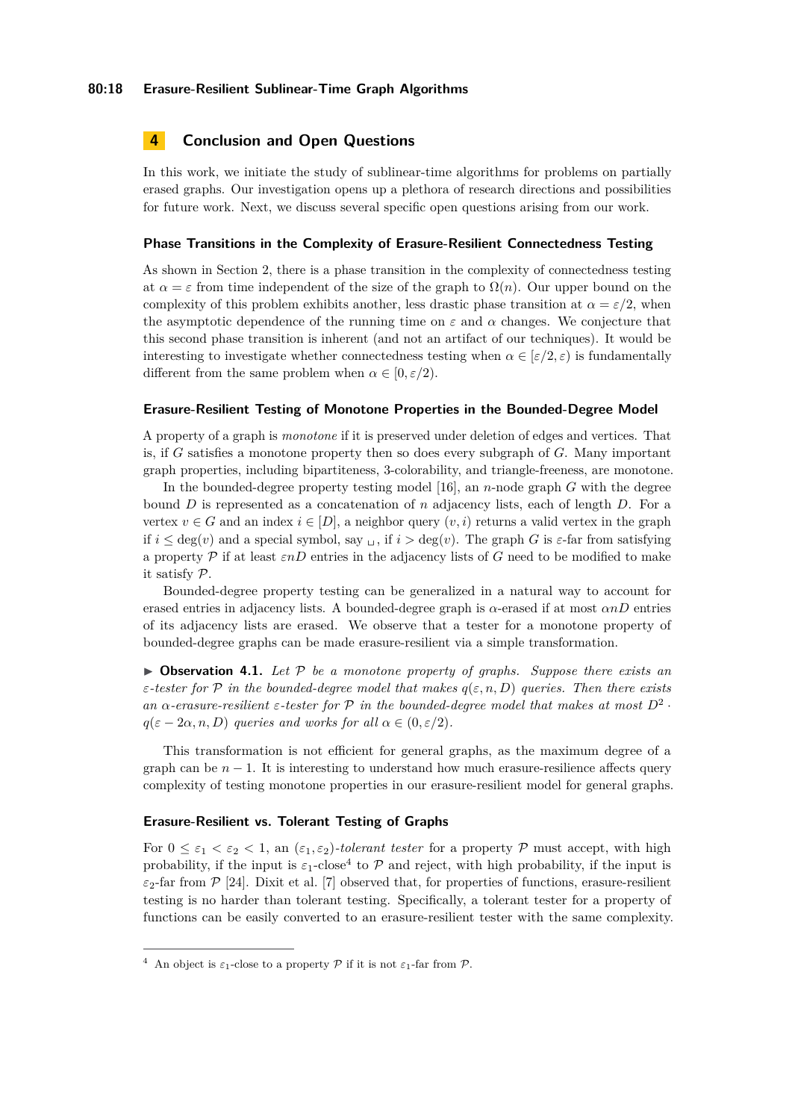# <span id="page-17-0"></span>**4 Conclusion and Open Questions**

In this work, we initiate the study of sublinear-time algorithms for problems on partially erased graphs. Our investigation opens up a plethora of research directions and possibilities for future work. Next, we discuss several specific open questions arising from our work.

#### **Phase Transitions in the Complexity of Erasure-Resilient Connectedness Testing**

As shown in Section [2,](#page-6-3) there is a phase transition in the complexity of connectedness testing at  $\alpha = \varepsilon$  from time independent of the size of the graph to  $\Omega(n)$ . Our upper bound on the complexity of this problem exhibits another, less drastic phase transition at  $\alpha = \varepsilon/2$ , when the asymptotic dependence of the running time on  $\varepsilon$  and  $\alpha$  changes. We conjecture that this second phase transition is inherent (and not an artifact of our techniques). It would be interesting to investigate whether connectedness testing when  $\alpha \in [\varepsilon/2, \varepsilon]$  is fundamentally different from the same problem when  $\alpha \in [0, \varepsilon/2)$ .

#### **Erasure-Resilient Testing of Monotone Properties in the Bounded-Degree Model**

A property of a graph is *monotone* if it is preserved under deletion of edges and vertices. That is, if *G* satisfies a monotone property then so does every subgraph of *G*. Many important graph properties, including bipartiteness, 3-colorability, and triangle-freeness, are monotone.

In the bounded-degree property testing model [\[16\]](#page-19-4), an *n*-node graph *G* with the degree bound *D* is represented as a concatenation of *n* adjacency lists, each of length *D*. For a vertex  $v \in G$  and an index  $i \in [D]$ , a neighbor query  $(v, i)$  returns a valid vertex in the graph if  $i \leq \deg(v)$  and a special symbol, say  $\Box$ , if  $i > \deg(v)$ . The graph *G* is  $\varepsilon$ -far from satisfying a property P if at least *εnD* entries in the adjacency lists of *G* need to be modified to make it satisfy P.

Bounded-degree property testing can be generalized in a natural way to account for erased entries in adjacency lists. A bounded-degree graph is  $\alpha$ -erased if at most  $\alpha nD$  entries of its adjacency lists are erased. We observe that a tester for a monotone property of bounded-degree graphs can be made erasure-resilient via a simple transformation.

 $\triangleright$  **Observation 4.1.** Let P be a monotone property of graphs. Suppose there exists an *ε-tester for*  $P$  *in the bounded-degree model that makes*  $q(\varepsilon, n, D)$  *queries. Then there exists an*  $\alpha$ -erasure-resilient  $\varepsilon$ -tester for  $\mathcal{P}$  in the bounded-degree model that makes at most  $D^2$ .  $q(\varepsilon - 2\alpha, n, D)$  *queries and works for all*  $\alpha \in (0, \varepsilon/2)$ *.* 

This transformation is not efficient for general graphs, as the maximum degree of a graph can be  $n-1$ . It is interesting to understand how much erasure-resilience affects query complexity of testing monotone properties in our erasure-resilient model for general graphs.

# **Erasure-Resilient vs. Tolerant Testing of Graphs**

For  $0 \leq \varepsilon_1 < \varepsilon_2 < 1$ , an  $(\varepsilon_1, \varepsilon_2)$ -tolerant tester for a property P must accept, with high probability, if the input is  $\varepsilon_1$ -close<sup>[4](#page-17-1)</sup> to  $\mathcal P$  and reject, with high probability, if the input is  $\varepsilon_2$ -far from  $\mathcal{P}$  [\[24\]](#page-19-14). Dixit et al. [\[7\]](#page-18-3) observed that, for properties of functions, erasure-resilient testing is no harder than tolerant testing. Specifically, a tolerant tester for a property of functions can be easily converted to an erasure-resilient tester with the same complexity.

<span id="page-17-1"></span><sup>&</sup>lt;sup>4</sup> An object is  $\varepsilon_1$ -close to a property P if it is not  $\varepsilon_1$ -far from P.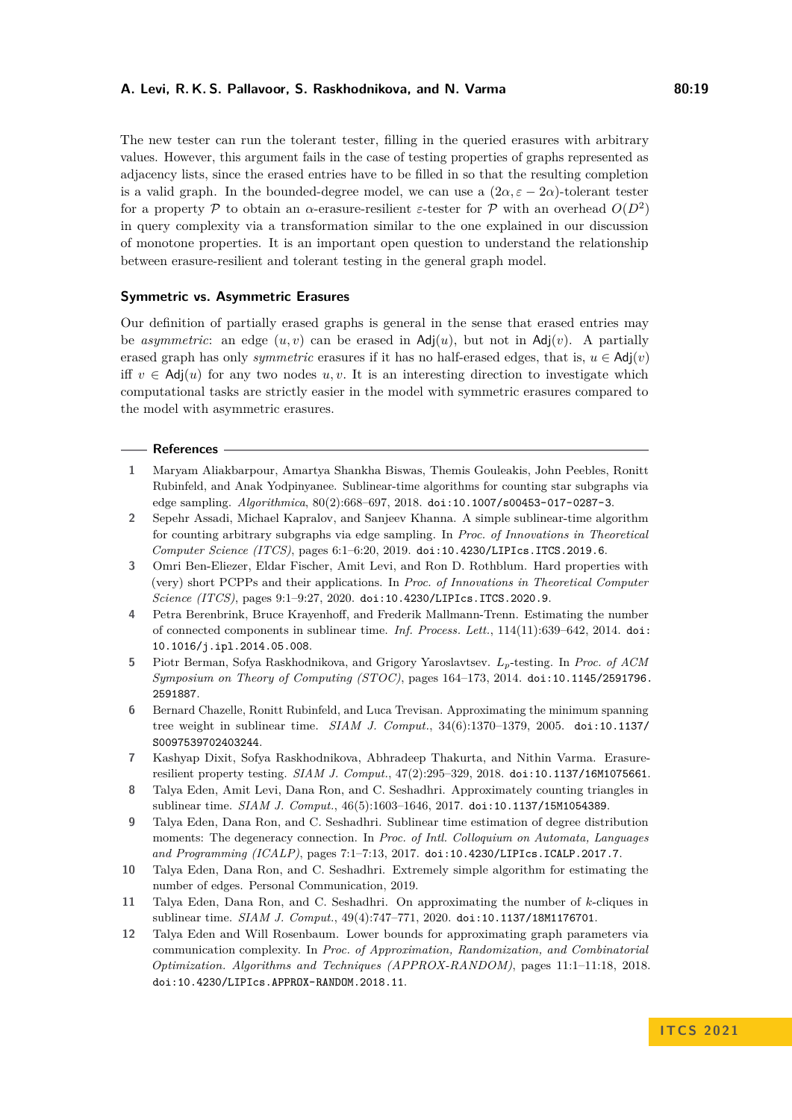The new tester can run the tolerant tester, filling in the queried erasures with arbitrary values. However, this argument fails in the case of testing properties of graphs represented as adjacency lists, since the erased entries have to be filled in so that the resulting completion is a valid graph. In the bounded-degree model, we can use a  $(2\alpha, \varepsilon - 2\alpha)$ -tolerant tester for a property  $P$  to obtain an  $\alpha$ -erasure-resilient  $\varepsilon$ -tester for  $P$  with an overhead  $O(D^2)$ in query complexity via a transformation similar to the one explained in our discussion of monotone properties. It is an important open question to understand the relationship between erasure-resilient and tolerant testing in the general graph model.

### **Symmetric vs. Asymmetric Erasures**

Our definition of partially erased graphs is general in the sense that erased entries may be *asymmetric*: an edge  $(u, v)$  can be erased in  $\text{Adj}(u)$ , but not in  $\text{Adj}(v)$ . A partially erased graph has only *symmetric* erasures if it has no half-erased edges, that is,  $u \in \text{Adj}(v)$ iff  $v \in \text{Adj}(u)$  for any two nodes  $u, v$ . It is an interesting direction to investigate which computational tasks are strictly easier in the model with symmetric erasures compared to the model with asymmetric erasures.

### **References**

- <span id="page-18-10"></span>**1** Maryam Aliakbarpour, Amartya Shankha Biswas, Themis Gouleakis, John Peebles, Ronitt Rubinfeld, and Anak Yodpinyanee. Sublinear-time algorithms for counting star subgraphs via edge sampling. *Algorithmica*, 80(2):668–697, 2018. [doi:10.1007/s00453-017-0287-3](https://doi.org/10.1007/s00453-017-0287-3).
- <span id="page-18-11"></span>**2** Sepehr Assadi, Michael Kapralov, and Sanjeev Khanna. A simple sublinear-time algorithm for counting arbitrary subgraphs via edge sampling. In *Proc. of Innovations in Theoretical Computer Science (ITCS)*, pages 6:1–6:20, 2019. [doi:10.4230/LIPIcs.ITCS.2019.6](https://doi.org/10.4230/LIPIcs.ITCS.2019.6).
- <span id="page-18-4"></span>**3** Omri Ben-Eliezer, Eldar Fischer, Amit Levi, and Ron D. Rothblum. Hard properties with (very) short PCPPs and their applications. In *Proc. of Innovations in Theoretical Computer Science (ITCS)*, pages 9:1–9:27, 2020. [doi:10.4230/LIPIcs.ITCS.2020.9](https://doi.org/10.4230/LIPIcs.ITCS.2020.9).
- <span id="page-18-6"></span>**4** Petra Berenbrink, Bruce Krayenhoff, and Frederik Mallmann-Trenn. Estimating the number of connected components in sublinear time. *Inf. Process. Lett.*, 114(11):639–642, 2014. [doi:](https://doi.org/10.1016/j.ipl.2014.05.008) [10.1016/j.ipl.2014.05.008](https://doi.org/10.1016/j.ipl.2014.05.008).
- <span id="page-18-0"></span>**5** Piotr Berman, Sofya Raskhodnikova, and Grigory Yaroslavtsev. *Lp*-testing. In *Proc. of ACM Symposium on Theory of Computing (STOC)*, pages 164–173, 2014. [doi:10.1145/2591796.](https://doi.org/10.1145/2591796.2591887) [2591887](https://doi.org/10.1145/2591796.2591887).
- <span id="page-18-5"></span>**6** Bernard Chazelle, Ronitt Rubinfeld, and Luca Trevisan. Approximating the minimum spanning tree weight in sublinear time. *SIAM J. Comput.*, 34(6):1370–1379, 2005. [doi:10.1137/](https://doi.org/10.1137/S0097539702403244) [S0097539702403244](https://doi.org/10.1137/S0097539702403244).
- <span id="page-18-3"></span>**7** Kashyap Dixit, Sofya Raskhodnikova, Abhradeep Thakurta, and Nithin Varma. Erasureresilient property testing. *SIAM J. Comput.*, 47(2):295–329, 2018. [doi:10.1137/16M1075661](https://doi.org/10.1137/16M1075661).
- <span id="page-18-7"></span>**8** Talya Eden, Amit Levi, Dana Ron, and C. Seshadhri. Approximately counting triangles in sublinear time. *SIAM J. Comput.*, 46(5):1603–1646, 2017. [doi:10.1137/15M1054389](https://doi.org/10.1137/15M1054389).
- <span id="page-18-1"></span>**9** Talya Eden, Dana Ron, and C. Seshadhri. Sublinear time estimation of degree distribution moments: The degeneracy connection. In *Proc. of Intl. Colloquium on Automata, Languages and Programming (ICALP)*, pages 7:1–7:13, 2017. [doi:10.4230/LIPIcs.ICALP.2017.7](https://doi.org/10.4230/LIPIcs.ICALP.2017.7).
- <span id="page-18-2"></span>**10** Talya Eden, Dana Ron, and C. Seshadhri. Extremely simple algorithm for estimating the number of edges. Personal Communication, 2019.
- <span id="page-18-8"></span>**11** Talya Eden, Dana Ron, and C. Seshadhri. On approximating the number of *k*-cliques in sublinear time. *SIAM J. Comput.*, 49(4):747–771, 2020. [doi:10.1137/18M1176701](https://doi.org/10.1137/18M1176701).
- <span id="page-18-9"></span>**12** Talya Eden and Will Rosenbaum. Lower bounds for approximating graph parameters via communication complexity. In *Proc. of Approximation, Randomization, and Combinatorial Optimization. Algorithms and Techniques (APPROX-RANDOM)*, pages 11:1–11:18, 2018. [doi:10.4230/LIPIcs.APPROX-RANDOM.2018.11](https://doi.org/10.4230/LIPIcs.APPROX-RANDOM.2018.11).